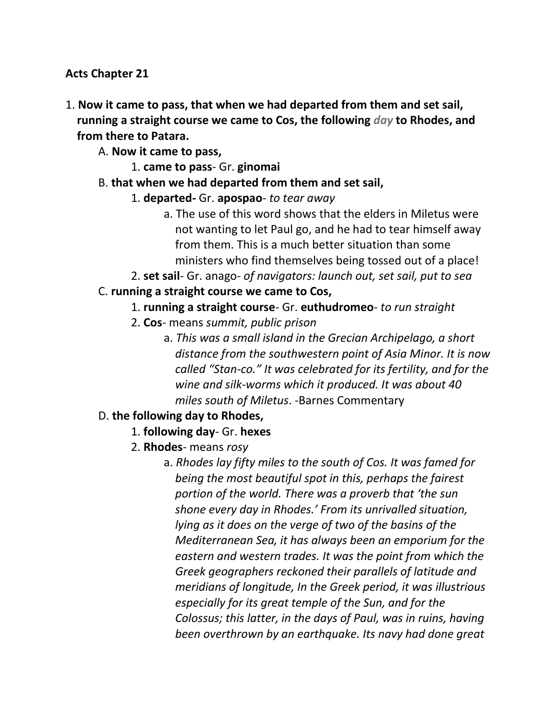### **Acts Chapter 21**

1. **Now it came to pass, that when we had departed from them and set sail, running a straight course we came to Cos, the following** *day* **to Rhodes, and from there to Patara.**

A. **Now it came to pass,**

- 1. **came to pass** Gr. **ginomai**
- B. **that when we had departed from them and set sail,**
	- 1. **departed-** Gr. **apospao** *to tear away*
		- a. The use of this word shows that the elders in Miletus were not wanting to let Paul go, and he had to tear himself away from them. This is a much better situation than some ministers who find themselves being tossed out of a place!
	- 2. **set sail** Gr. anago- *of navigators: launch out, set sail, put to sea*

### C. **running a straight course we came to Cos,**

- 1. **running a straight course** Gr. **euthudromeo** *to run straight*
- 2. **Cos** means *summit, public prison*
	- a. *This was a small island in the Grecian Archipelago, a short distance from the southwestern point of Asia Minor. It is now called "Stan-co." It was celebrated for its fertility, and for the wine and silk-worms which it produced. It was about 40 miles south of Miletus*. -Barnes Commentary

### D. **the following day to Rhodes,**

- 1. **following day** Gr. **hexes**
- 2. **Rhodes** means *rosy*
	- a. *Rhodes lay fifty miles to the south of Cos. It was famed for being the most beautiful spot in this, perhaps the fairest portion of the world. There was a proverb that 'the sun shone every day in Rhodes.' From its unrivalled situation, lying as it does on the verge of two of the basins of the Mediterranean Sea, it has always been an emporium for the eastern and western trades. It was the point from which the Greek geographers reckoned their parallels of latitude and meridians of longitude, In the Greek period, it was illustrious especially for its great temple of the Sun, and for the Colossus; this latter, in the days of Paul, was in ruins, having been overthrown by an earthquake. Its navy had done great*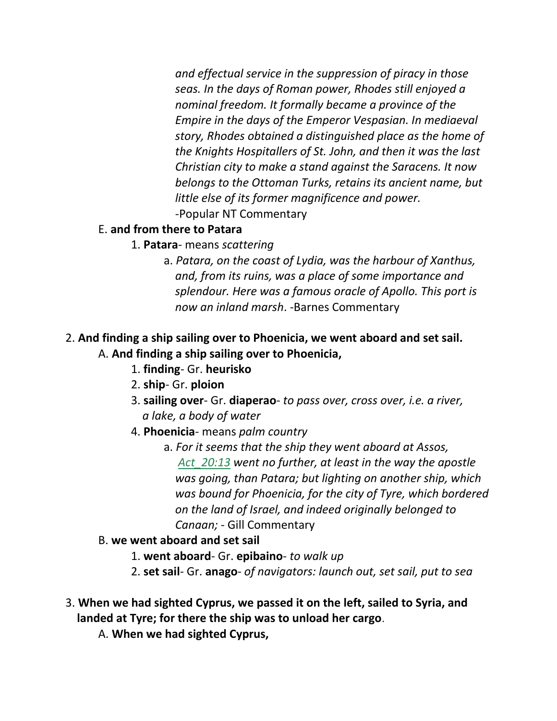*and effectual service in the suppression of piracy in those seas. In the days of Roman power, Rhodes still enjoyed a nominal freedom. It formally became a province of the Empire in the days of the Emperor Vespasian. In mediaeval story, Rhodes obtained a distinguished place as the home of the Knights Hospitallers of St. John, and then it was the last Christian city to make a stand against the Saracens. It now belongs to the Ottoman Turks, retains its ancient name, but little else of its former magnificence and power.* -Popular NT Commentary

### E. **and from there to Patara**

- 1. **Patara** means *scattering*
	- a. *Patara, on the coast of Lydia, was the harbour of Xanthus, and, from its ruins, was a place of some importance and splendour. Here was a famous oracle of Apollo. This port is now an inland marsh*. -Barnes Commentary

### 2. **And finding a ship sailing over to Phoenicia, we went aboard and set sail.** A. **And finding a ship sailing over to Phoenicia,**

- 1. **finding** Gr. **heurisko**
- 2. **ship** Gr. **ploion**
- 3. **sailing over** Gr. **diaperao** *to pass over, cross over, i.e. a river, a lake, a body of water*
- 4. **Phoenicia** means *palm country*
	- a. *For it seems that the ship they went aboard at Assos, Act\_20:13 went no further, at least in the way the apostle was going, than Patara; but lighting on another ship, which was bound for Phoenicia, for the city of Tyre, which bordered on the land of Israel, and indeed originally belonged to Canaan;* - Gill Commentary
- B. **we went aboard and set sail**
	- 1. **went aboard** Gr. **epibaino** *to walk up*
	- 2. **set sail** Gr. **anago** *of navigators: launch out, set sail, put to sea*
- 3. **When we had sighted Cyprus, we passed it on the left, sailed to Syria, and landed at Tyre; for there the ship was to unload her cargo**.
	- A. **When we had sighted Cyprus,**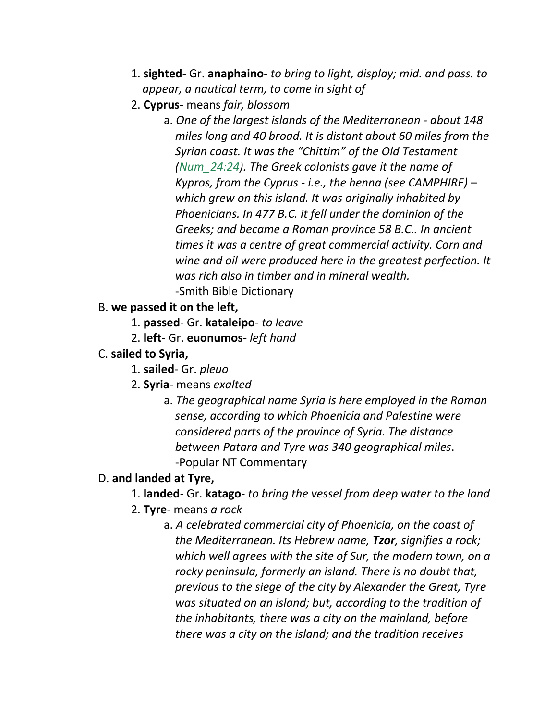- 1. **sighted** Gr. **anaphaino** *to bring to light, display; mid. and pass. to appear, a nautical term, to come in sight of*
- 2. **Cyprus** means *fair, blossom*
	- a. *One of the largest islands of the Mediterranean - about 148 miles long and 40 broad. It is distant about 60 miles from the Syrian coast. It was the "Chittim" of the Old Testament (Num\_24:24). The Greek colonists gave it the name of Kypros, from the Cyprus - i.e., the henna (see CAMPHIRE) – which grew on this island. It was originally inhabited by Phoenicians. In 477 B.C. it fell under the dominion of the Greeks; and became a Roman province 58 B.C.. In ancient times it was a centre of great commercial activity. Corn and wine and oil were produced here in the greatest perfection. It was rich also in timber and in mineral wealth.* -Smith Bible Dictionary
- B. **we passed it on the left,**
	- 1. **passed** Gr. **kataleipo** *to leave*
	- 2. **left** Gr. **euonumos** *left hand*
- C. **sailed to Syria,**
	- 1. **sailed** Gr. *pleuo*
	- 2. **Syria** means *exalted*
		- a. *The geographical name Syria is here employed in the Roman sense, according to which Phoenicia and Palestine were considered parts of the province of Syria. The distance between Patara and Tyre was 340 geographical miles*. -Popular NT Commentary

### D. **and landed at Tyre,**

- 1. **landed** Gr. **katago** *to bring the vessel from deep water to the land*
- 2. **Tyre** means *a rock*
	- a. *A celebrated commercial city of Phoenicia, on the coast of the Mediterranean. Its Hebrew name, Tzor, signifies a rock; which well agrees with the site of Sur, the modern town, on a rocky peninsula, formerly an island. There is no doubt that, previous to the siege of the city by Alexander the Great, Tyre was situated on an island; but, according to the tradition of the inhabitants, there was a city on the mainland, before there was a city on the island; and the tradition receives*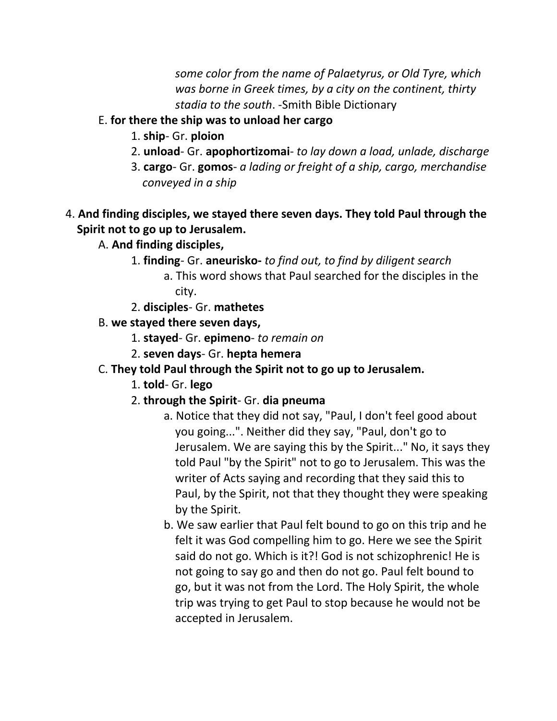*some color from the name of Palaetyrus, or Old Tyre, which was borne in Greek times, by a city on the continent, thirty stadia to the south*. -Smith Bible Dictionary

## E. **for there the ship was to unload her cargo**

- 1. **ship** Gr. **ploion**
- 2. **unload** Gr. **apophortizomai** *to lay down a load, unlade, discharge*
- 3. **cargo** Gr. **gomos** *a lading or freight of a ship, cargo, merchandise conveyed in a ship*
- 4. **And finding disciples, we stayed there seven days. They told Paul through the Spirit not to go up to Jerusalem.**
	- A. **And finding disciples,**
		- 1. **finding** Gr. **aneurisko-** *to find out, to find by diligent search*
			- a. This word shows that Paul searched for the disciples in the city.
		- 2. **disciples** Gr. **mathetes**
	- B. **we stayed there seven days,**
		- 1. **stayed** Gr. **epimeno** *to remain on*
		- 2. **seven days** Gr. **hepta hemera**
	- C. **They told Paul through the Spirit not to go up to Jerusalem.**
		- 1. **told** Gr. **lego**
		- 2. **through the Spirit** Gr. **dia pneuma**
			- a. Notice that they did not say, "Paul, I don't feel good about you going...". Neither did they say, "Paul, don't go to Jerusalem. We are saying this by the Spirit..." No, it says they told Paul "by the Spirit" not to go to Jerusalem. This was the writer of Acts saying and recording that they said this to Paul, by the Spirit, not that they thought they were speaking by the Spirit.
			- b. We saw earlier that Paul felt bound to go on this trip and he felt it was God compelling him to go. Here we see the Spirit said do not go. Which is it?! God is not schizophrenic! He is not going to say go and then do not go. Paul felt bound to go, but it was not from the Lord. The Holy Spirit, the whole trip was trying to get Paul to stop because he would not be accepted in Jerusalem.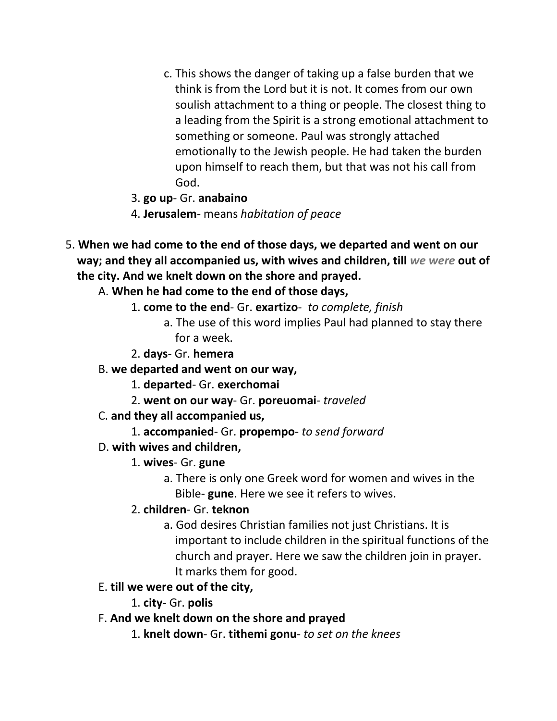- c. This shows the danger of taking up a false burden that we think is from the Lord but it is not. It comes from our own soulish attachment to a thing or people. The closest thing to a leading from the Spirit is a strong emotional attachment to something or someone. Paul was strongly attached emotionally to the Jewish people. He had taken the burden upon himself to reach them, but that was not his call from God.
- 3. **go up** Gr. **anabaino**
- 4. **Jerusalem** means *habitation of peace*
- 5. **When we had come to the end of those days, we departed and went on our way; and they all accompanied us, with wives and children, till** *we were* **out of the city. And we knelt down on the shore and prayed.**
	- A. **When he had come to the end of those days,**
		- 1. **come to the end** Gr. **exartizo** *to complete, finish*
			- a. The use of this word implies Paul had planned to stay there for a week.
		- 2. **days** Gr. **hemera**
	- B. **we departed and went on our way,**
		- 1. **departed** Gr. **exerchomai**
		- 2. **went on our way** Gr. **poreuomai** *traveled*
	- C. **and they all accompanied us,**
		- 1. **accompanied** Gr. **propempo** *to send forward*
	- D. **with wives and children,**
		- 1. **wives** Gr. **gune**
			- a. There is only one Greek word for women and wives in the Bible- **gune**. Here we see it refers to wives.
		- 2. **children** Gr. **teknon**
			- a. God desires Christian families not just Christians. It is important to include children in the spiritual functions of the church and prayer. Here we saw the children join in prayer. It marks them for good.
	- E. **till we were out of the city,**
		- 1. **city** Gr. **polis**
	- F. **And we knelt down on the shore and prayed**
		- 1. **knelt down** Gr. **tithemi gonu** *to set on the knees*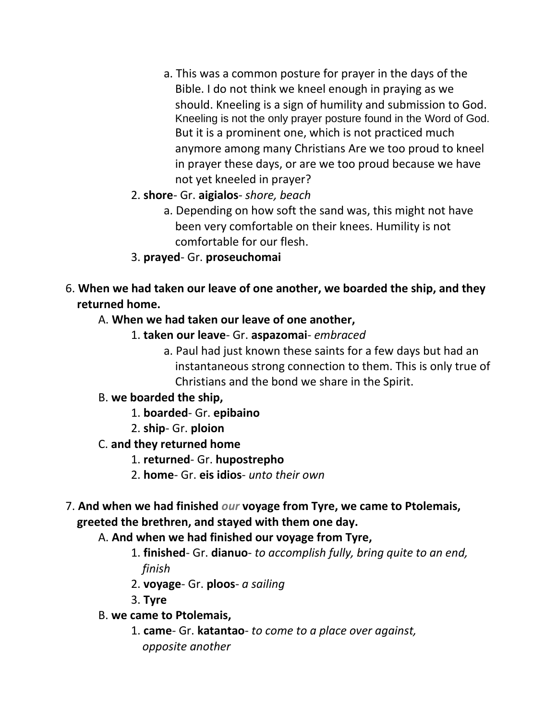- a. This was a common posture for prayer in the days of the Bible. I do not think we kneel enough in praying as we should. Kneeling is a sign of humility and submission to God. Kneeling is not the only prayer posture found in the Word of God. But it is a prominent one, which is not practiced much anymore among many Christians Are we too proud to kneel in prayer these days, or are we too proud because we have not yet kneeled in prayer?
- 2. **shore** Gr. **aigialos** *shore, beach*
	- a. Depending on how soft the sand was, this might not have been very comfortable on their knees. Humility is not comfortable for our flesh.
- 3. **prayed** Gr. **proseuchomai**
- 6. **When we had taken our leave of one another, we boarded the ship, and they returned home.**
	- A. **When we had taken our leave of one another,**
		- 1. **taken our leave** Gr. **aspazomai** *embraced*
			- a. Paul had just known these saints for a few days but had an instantaneous strong connection to them. This is only true of Christians and the bond we share in the Spirit.
	- B. **we boarded the ship,**
		- 1. **boarded** Gr. **epibaino**
		- 2. **ship** Gr. **ploion**
	- C. **and they returned home**
		- 1. **returned** Gr. **hupostrepho**
		- 2. **home** Gr. **eis idios** *unto their own*
- 7. **And when we had finished** *our* **voyage from Tyre, we came to Ptolemais, greeted the brethren, and stayed with them one day.**
	- A. **And when we had finished our voyage from Tyre,**
		- 1. **finished** Gr. **dianuo** *to accomplish fully, bring quite to an end, finish*
		- 2. **voyage** Gr. **ploos** *a sailing*
		- 3. **Tyre**
	- B. **we came to Ptolemais,**
		- 1. **came** Gr. **katantao** *to come to a place over against, opposite another*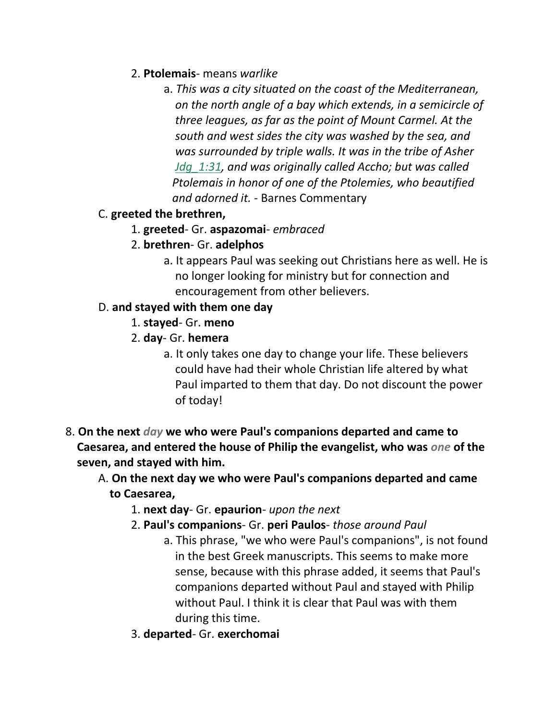- 2. **Ptolemais** means *warlike*
	- a. *This was a city situated on the coast of the Mediterranean, on the north angle of a bay which extends, in a semicircle of three leagues, as far as the point of Mount Carmel. At the south and west sides the city was washed by the sea, and was surrounded by triple walls. It was in the tribe of Asher Jdg\_1:31, and was originally called Accho; but was called Ptolemais in honor of one of the Ptolemies, who beautified and adorned it.* - Barnes Commentary

## C. **greeted the brethren,**

- 1. **greeted** Gr. **aspazomai** *embraced*
- 2. **brethren** Gr. **adelphos**
	- a. It appears Paul was seeking out Christians here as well. He is no longer looking for ministry but for connection and encouragement from other believers.

## D. **and stayed with them one day**

- 1. **stayed** Gr. **meno**
- 2. **day** Gr. **hemera**
	- a. It only takes one day to change your life. These believers could have had their whole Christian life altered by what Paul imparted to them that day. Do not discount the power of today!
- 8. **On the next** *day* **we who were Paul's companions departed and came to Caesarea, and entered the house of Philip the evangelist, who was** *one* **of the seven, and stayed with him.**
	- A. **On the next day we who were Paul's companions departed and came to Caesarea,**
		- 1. **next day** Gr. **epaurion** *upon the next*
		- 2. **Paul's companions** Gr. **peri Paulos** *those around Paul*
			- a. This phrase, "we who were Paul's companions", is not found in the best Greek manuscripts. This seems to make more sense, because with this phrase added, it seems that Paul's companions departed without Paul and stayed with Philip without Paul. I think it is clear that Paul was with them during this time.
		- 3. **departed** Gr. **exerchomai**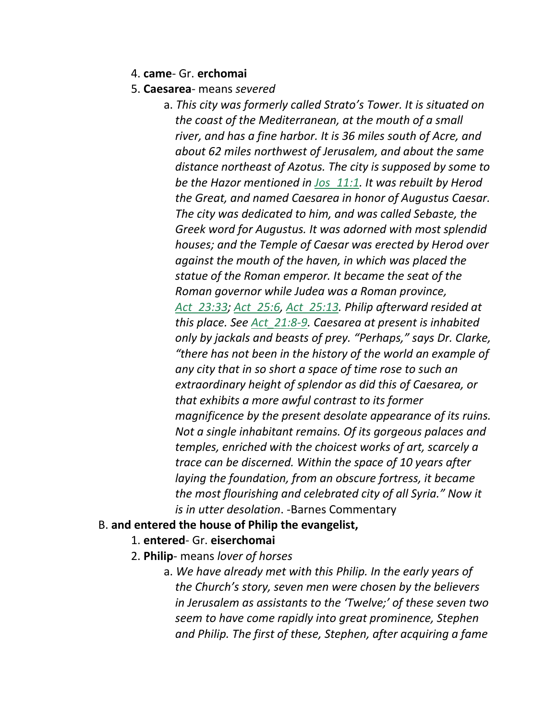- 4. **came** Gr. **erchomai**
- 5. **Caesarea** means *severed*
	- a. *This city was formerly called Strato's Tower. It is situated on the coast of the Mediterranean, at the mouth of a small river, and has a fine harbor. It is 36 miles south of Acre, and about 62 miles northwest of Jerusalem, and about the same distance northeast of Azotus. The city is supposed by some to be the Hazor mentioned in Jos\_11:1. It was rebuilt by Herod the Great, and named Caesarea in honor of Augustus Caesar. The city was dedicated to him, and was called Sebaste, the Greek word for Augustus. It was adorned with most splendid houses; and the Temple of Caesar was erected by Herod over against the mouth of the haven, in which was placed the statue of the Roman emperor. It became the seat of the Roman governor while Judea was a Roman province, Act\_23:33; Act\_25:6, Act\_25:13. Philip afterward resided at this place. See Act\_21:8-9. Caesarea at present is inhabited only by jackals and beasts of prey. "Perhaps," says Dr. Clarke, "there has not been in the history of the world an example of any city that in so short a space of time rose to such an extraordinary height of splendor as did this of Caesarea, or that exhibits a more awful contrast to its former magnificence by the present desolate appearance of its ruins. Not a single inhabitant remains. Of its gorgeous palaces and temples, enriched with the choicest works of art, scarcely a trace can be discerned. Within the space of 10 years after laying the foundation, from an obscure fortress, it became the most flourishing and celebrated city of all Syria." Now it is in utter desolation*. -Barnes Commentary

#### B. **and entered the house of Philip the evangelist,**

- 1. **entered** Gr. **eiserchomai**
- 2. **Philip** means *lover of horses*
	- a. *We have already met with this Philip. In the early years of the Church's story, seven men were chosen by the believers in Jerusalem as assistants to the 'Twelve;' of these seven two seem to have come rapidly into great prominence, Stephen and Philip. The first of these, Stephen, after acquiring a fame*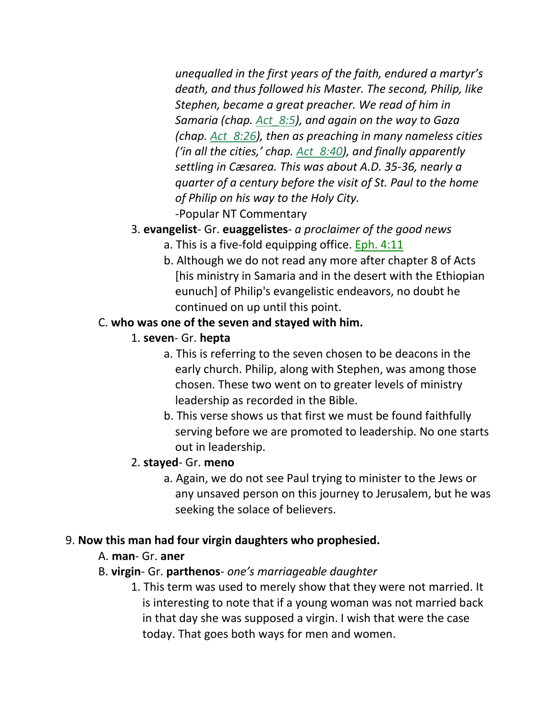*unequalled in the first years of the faith, endured a martyr's death, and thus followed his Master. The second, Philip, like Stephen, became a great preacher. We read of him in Samaria (chap. Act\_8:5), and again on the way to Gaza (chap. Act\_8:26), then as preaching in many nameless cities ('in all the cities,' chap. Act\_8:40), and finally apparently settling in Cæsarea. This was about A.D. 35-36, nearly a quarter of a century before the visit of St. Paul to the home of Philip on his way to the Holy City.* -Popular NT Commentary

- 3. **evangelist** Gr. **euaggelistes** *a proclaimer of the good news*
	- a. This is a five-fold equipping office. Eph. 4:11
	- b. Although we do not read any more after chapter 8 of Acts [his ministry in Samaria and in the desert with the Ethiopian eunuch] of Philip's evangelistic endeavors, no doubt he continued on up until this point.

## C. **who was one of the seven and stayed with him.**

- 1. **seven** Gr. **hepta**
	- a. This is referring to the seven chosen to be deacons in the early church. Philip, along with Stephen, was among those chosen. These two went on to greater levels of ministry leadership as recorded in the Bible.
	- b. This verse shows us that first we must be found faithfully serving before we are promoted to leadership. No one starts out in leadership.

## 2. **stayed**- Gr. **meno**

a. Again, we do not see Paul trying to minister to the Jews or any unsaved person on this journey to Jerusalem, but he was seeking the solace of believers.

## 9. **Now this man had four virgin daughters who prophesied.**

## A. **man**- Gr. **aner**

## B. **virgin**- Gr. **parthenos**- *one's marriageable daughter*

1. This term was used to merely show that they were not married. It is interesting to note that if a young woman was not married back in that day she was supposed a virgin. I wish that were the case today. That goes both ways for men and women.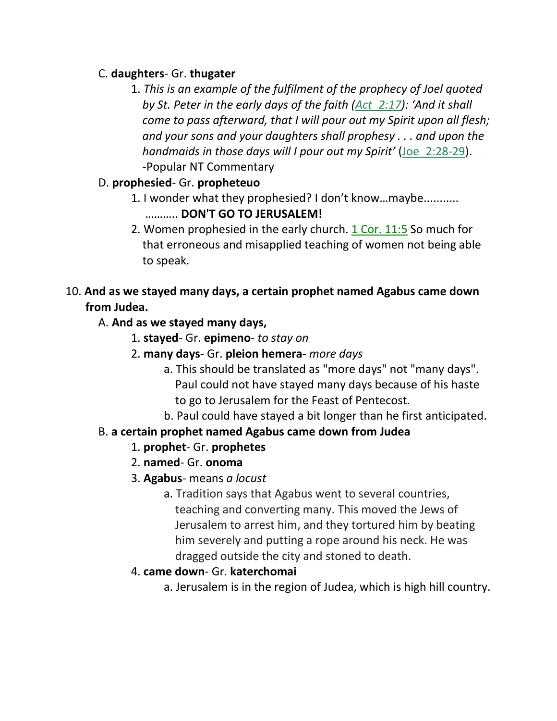### C. **daughters**- Gr. **thugater**

1. *This is an example of the fulfilment of the prophecy of Joel quoted by St. Peter in the early days of the faith (Act\_2:17): 'And it shall come to pass afterward, that I will pour out my Spirit upon all flesh; and your sons and your daughters shall prophesy . . . and upon the handmaids in those days will I pour out my Spirit'* (Joe\_2:28-29). -Popular NT Commentary

## D. **prophesied**- Gr. **propheteuo**

- 1. I wonder what they prophesied? I don't know…maybe........... ……….. **DON'T GO TO JERUSALEM!**
- 2. Women prophesied in the early church.  $1$  Cor.  $11:5$  So much for that erroneous and misapplied teaching of women not being able to speak.

## 10. **And as we stayed many days, a certain prophet named Agabus came down from Judea.**

## A. **And as we stayed many days,**

- 1. **stayed** Gr. **epimeno** *to stay on*
- 2. **many days** Gr. **pleion hemera** *more days*
	- a. This should be translated as "more days" not "many days". Paul could not have stayed many days because of his haste to go to Jerusalem for the Feast of Pentecost.
	- b. Paul could have stayed a bit longer than he first anticipated.

# B. **a certain prophet named Agabus came down from Judea**

- 1. **prophet** Gr. **prophetes**
- 2. **named** Gr. **onoma**
- 3. **Agabus** means *a locust*
	- a. Tradition says that Agabus went to several countries, teaching and converting many. This moved the Jews of Jerusalem to arrest him, and they tortured him by beating him severely and putting a rope around his neck. He was dragged outside the city and stoned to death.

## 4. **came down**- Gr. **katerchomai**

a. Jerusalem is in the region of Judea, which is high hill country.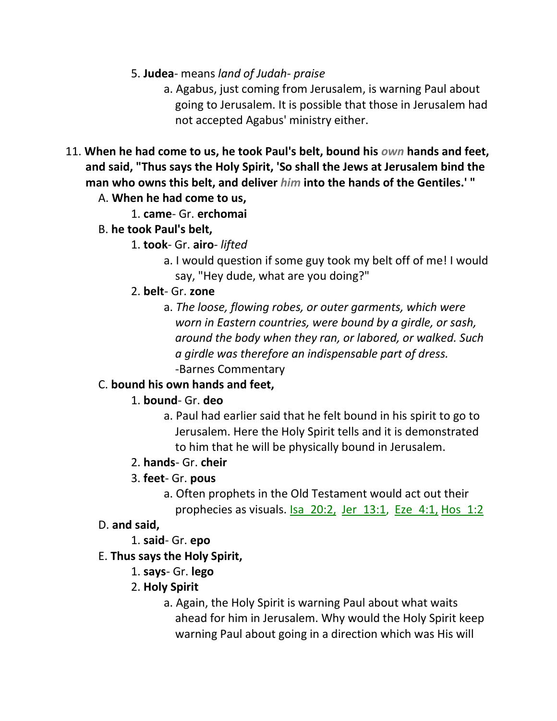- 5. **Judea** means *land of Judah- praise*
	- a. Agabus, just coming from Jerusalem, is warning Paul about going to Jerusalem. It is possible that those in Jerusalem had not accepted Agabus' ministry either.
- 11. **When he had come to us, he took Paul's belt, bound his** *own* **hands and feet, and said, "Thus says the Holy Spirit, 'So shall the Jews at Jerusalem bind the man who owns this belt, and deliver** *him* **into the hands of the Gentiles.' "**
	- A. **When he had come to us,**
		- 1. **came** Gr. **erchomai**
	- B. **he took Paul's belt,**
		- 1. **took** Gr. **airo** *lifted*
			- a. I would question if some guy took my belt off of me! I would say, "Hey dude, what are you doing?"
		- 2. **belt** Gr. **zone**
			- a. *The loose, flowing robes, or outer garments, which were worn in Eastern countries, were bound by a girdle, or sash, around the body when they ran, or labored, or walked. Such a girdle was therefore an indispensable part of dress.* -Barnes Commentary

## C. **bound his own hands and feet,**

## 1. **bound**- Gr. **deo**

a. Paul had earlier said that he felt bound in his spirit to go to Jerusalem. Here the Holy Spirit tells and it is demonstrated to him that he will be physically bound in Jerusalem.

## 2. **hands**- Gr. **cheir**

## 3. **feet**- Gr. **pous**

a. Often prophets in the Old Testament would act out their prophecies as visuals. Isa\_20:2, Jer\_13:1, Eze\_4:1, Hos\_1:2

## D. **and said,**

1. **said**- Gr. **epo**

## E. **Thus says the Holy Spirit,**

1. **says**- Gr. **lego**

### 2. **Holy Spirit**

a. Again, the Holy Spirit is warning Paul about what waits ahead for him in Jerusalem. Why would the Holy Spirit keep warning Paul about going in a direction which was His will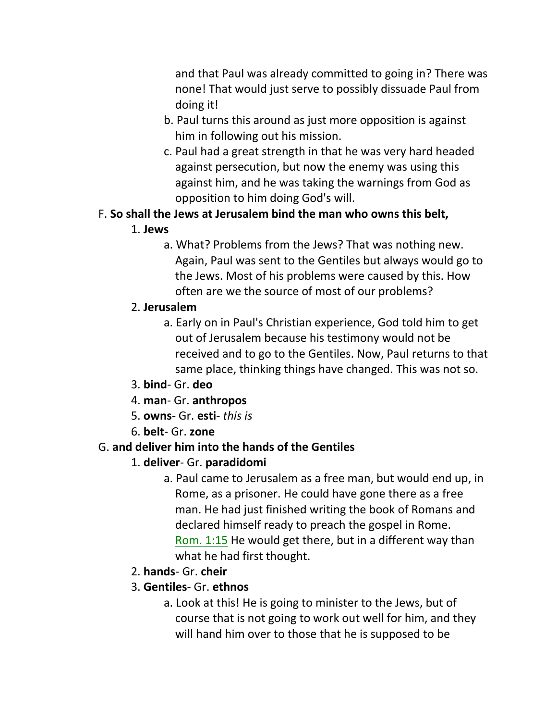and that Paul was already committed to going in? There was none! That would just serve to possibly dissuade Paul from doing it!

- b. Paul turns this around as just more opposition is against him in following out his mission.
- c. Paul had a great strength in that he was very hard headed against persecution, but now the enemy was using this against him, and he was taking the warnings from God as opposition to him doing God's will.

# F. **So shall the Jews at Jerusalem bind the man who owns this belt,**

- 1. **Jews**
	- a. What? Problems from the Jews? That was nothing new. Again, Paul was sent to the Gentiles but always would go to the Jews. Most of his problems were caused by this. How often are we the source of most of our problems?

# 2. **Jerusalem**

- a. Early on in Paul's Christian experience, God told him to get out of Jerusalem because his testimony would not be received and to go to the Gentiles. Now, Paul returns to that same place, thinking things have changed. This was not so.
- 3. **bind** Gr. **deo**
- 4. **man** Gr. **anthropos**
- 5. **owns** Gr. **esti** *this is*
- 6. **belt** Gr. **zone**

# G. **and deliver him into the hands of the Gentiles**

# 1. **deliver**- Gr. **paradidomi**

- a. Paul came to Jerusalem as a free man, but would end up, in Rome, as a prisoner. He could have gone there as a free man. He had just finished writing the book of Romans and declared himself ready to preach the gospel in Rome. Rom. 1:15 He would get there, but in a different way than what he had first thought.
- 2. **hands** Gr. **cheir**
- 3. **Gentiles** Gr. **ethnos**
	- a. Look at this! He is going to minister to the Jews, but of course that is not going to work out well for him, and they will hand him over to those that he is supposed to be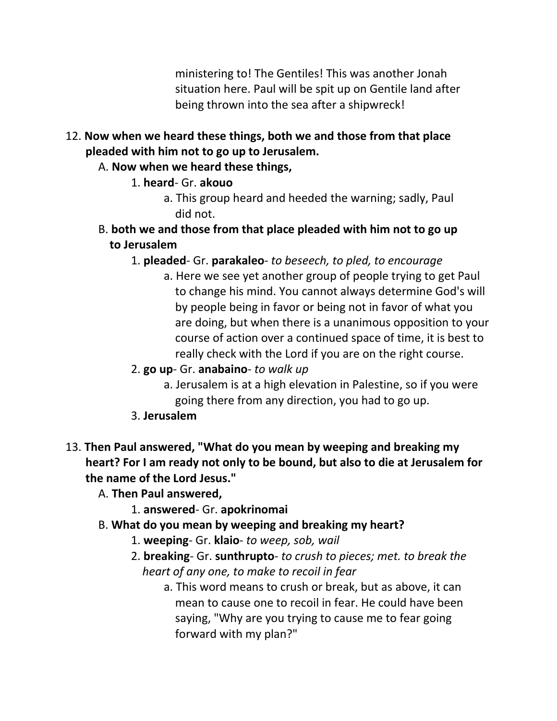ministering to! The Gentiles! This was another Jonah situation here. Paul will be spit up on Gentile land after being thrown into the sea after a shipwreck!

- 12. **Now when we heard these things, both we and those from that place pleaded with him not to go up to Jerusalem.**
	- A. **Now when we heard these things,**
		- 1. **heard** Gr. **akouo**
			- a. This group heard and heeded the warning; sadly, Paul did not.
	- B. **both we and those from that place pleaded with him not to go up to Jerusalem**
		- 1. **pleaded** Gr. **parakaleo** *to beseech, to pled, to encourage*
			- a. Here we see yet another group of people trying to get Paul to change his mind. You cannot always determine God's will by people being in favor or being not in favor of what you are doing, but when there is a unanimous opposition to your course of action over a continued space of time, it is best to really check with the Lord if you are on the right course.
		- 2. **go up** Gr. **anabaino** *to walk up*
			- a. Jerusalem is at a high elevation in Palestine, so if you were going there from any direction, you had to go up.
		- 3. **Jerusalem**
- 13. **Then Paul answered, "What do you mean by weeping and breaking my heart? For I am ready not only to be bound, but also to die at Jerusalem for the name of the Lord Jesus."**
	- A. **Then Paul answered,**
		- 1. **answered** Gr. **apokrinomai**
	- B. **What do you mean by weeping and breaking my heart?**
		- 1. **weeping** Gr. **klaio** *to weep, sob, wail*
		- 2. **breaking** Gr. **sunthrupto** *to crush to pieces; met. to break the heart of any one, to make to recoil in fear*
			- a. This word means to crush or break, but as above, it can mean to cause one to recoil in fear. He could have been saying, "Why are you trying to cause me to fear going forward with my plan?"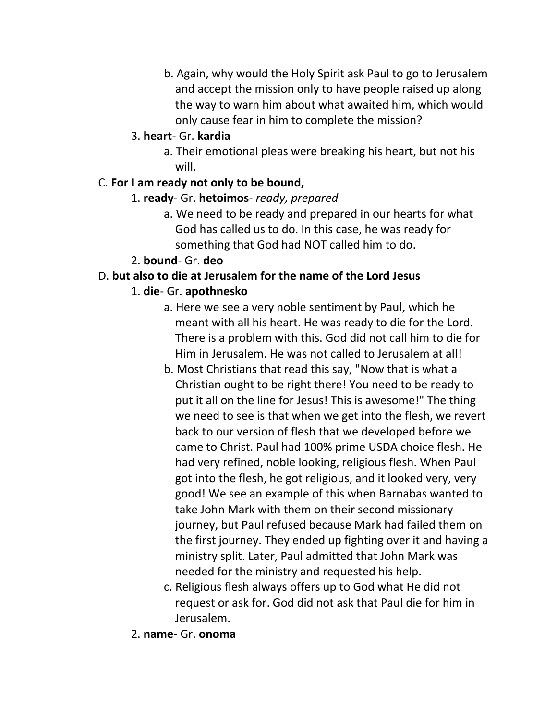b. Again, why would the Holy Spirit ask Paul to go to Jerusalem and accept the mission only to have people raised up along the way to warn him about what awaited him, which would only cause fear in him to complete the mission?

#### 3. **heart**- Gr. **kardia**

a. Their emotional pleas were breaking his heart, but not his will.

### C. **For I am ready not only to be bound,**

- 1. **ready** Gr. **hetoimos** *ready, prepared*
	- a. We need to be ready and prepared in our hearts for what God has called us to do. In this case, he was ready for something that God had NOT called him to do.

## 2. **bound**- Gr. **deo**

### D. **but also to die at Jerusalem for the name of the Lord Jesus**

### 1. **die**- Gr. **apothnesko**

- a. Here we see a very noble sentiment by Paul, which he meant with all his heart. He was ready to die for the Lord. There is a problem with this. God did not call him to die for Him in Jerusalem. He was not called to Jerusalem at all!
- b. Most Christians that read this say, "Now that is what a Christian ought to be right there! You need to be ready to put it all on the line for Jesus! This is awesome!" The thing we need to see is that when we get into the flesh, we revert back to our version of flesh that we developed before we came to Christ. Paul had 100% prime USDA choice flesh. He had very refined, noble looking, religious flesh. When Paul got into the flesh, he got religious, and it looked very, very good! We see an example of this when Barnabas wanted to take John Mark with them on their second missionary journey, but Paul refused because Mark had failed them on the first journey. They ended up fighting over it and having a ministry split. Later, Paul admitted that John Mark was needed for the ministry and requested his help.
- c. Religious flesh always offers up to God what He did not request or ask for. God did not ask that Paul die for him in Jerusalem.
- 2. **name** Gr. **onoma**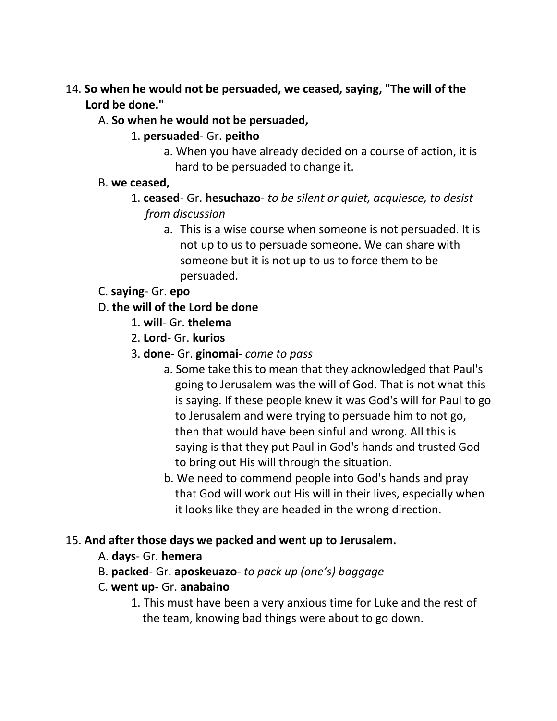- 14. **So when he would not be persuaded, we ceased, saying, "The will of the Lord be done."**
	- A. **So when he would not be persuaded,**
		- 1. **persuaded** Gr. **peitho**
			- a. When you have already decided on a course of action, it is hard to be persuaded to change it.
	- B. **we ceased,**
		- 1. **ceased** Gr. **hesuchazo** *to be silent or quiet, acquiesce, to desist from discussion*
			- a. This is a wise course when someone is not persuaded. It is not up to us to persuade someone. We can share with someone but it is not up to us to force them to be persuaded.
	- C. **saying** Gr. **epo**
	- D. **the will of the Lord be done**
		- 1. **will** Gr. **thelema**
		- 2. **Lord** Gr. **kurios**
		- 3. **done** Gr. **ginomai** *come to pass*
			- a. Some take this to mean that they acknowledged that Paul's going to Jerusalem was the will of God. That is not what this is saying. If these people knew it was God's will for Paul to go to Jerusalem and were trying to persuade him to not go, then that would have been sinful and wrong. All this is saying is that they put Paul in God's hands and trusted God to bring out His will through the situation.
			- b. We need to commend people into God's hands and pray that God will work out His will in their lives, especially when it looks like they are headed in the wrong direction.

## 15. **And after those days we packed and went up to Jerusalem.**

- A. **days** Gr. **hemera**
- B. **packed** Gr. **aposkeuazo** *to pack up (one's) baggage*
- C. **went up** Gr. **anabaino**
	- 1. This must have been a very anxious time for Luke and the rest of the team, knowing bad things were about to go down.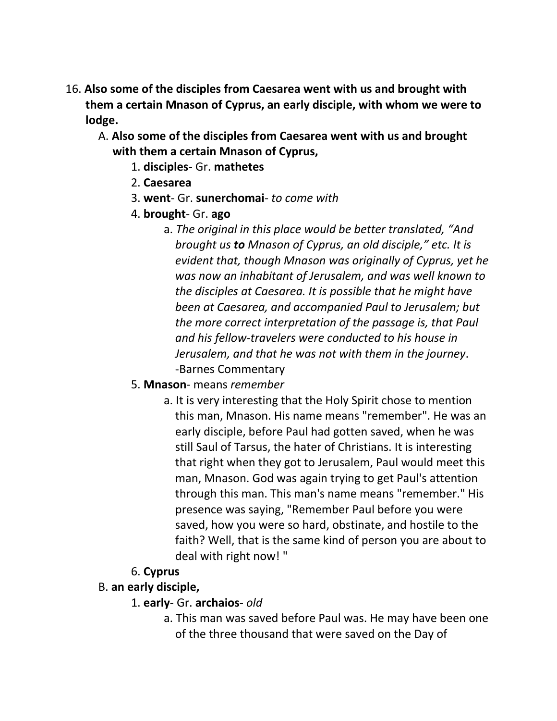- 16. **Also some of the disciples from Caesarea went with us and brought with them a certain Mnason of Cyprus, an early disciple, with whom we were to lodge.**
	- A. **Also some of the disciples from Caesarea went with us and brought with them a certain Mnason of Cyprus,**
		- 1. **disciples** Gr. **mathetes**
		- 2. **Caesarea**
		- 3. **went** Gr. **sunerchomai** *to come with*
		- 4. **brought** Gr. **ago**
			- a. *The original in this place would be better translated, "And brought us to Mnason of Cyprus, an old disciple," etc. It is evident that, though Mnason was originally of Cyprus, yet he was now an inhabitant of Jerusalem, and was well known to the disciples at Caesarea. It is possible that he might have been at Caesarea, and accompanied Paul to Jerusalem; but the more correct interpretation of the passage is, that Paul and his fellow-travelers were conducted to his house in Jerusalem, and that he was not with them in the journey*. -Barnes Commentary
		- 5. **Mnason** means *remember*
			- a. It is very interesting that the Holy Spirit chose to mention this man, Mnason. His name means "remember". He was an early disciple, before Paul had gotten saved, when he was still Saul of Tarsus, the hater of Christians. It is interesting that right when they got to Jerusalem, Paul would meet this man, Mnason. God was again trying to get Paul's attention through this man. This man's name means "remember." His presence was saying, "Remember Paul before you were saved, how you were so hard, obstinate, and hostile to the faith? Well, that is the same kind of person you are about to deal with right now! "

# 6. **Cyprus**

## B. **an early disciple,**

- 1. **early** Gr. **archaios** *old*
	- a. This man was saved before Paul was. He may have been one of the three thousand that were saved on the Day of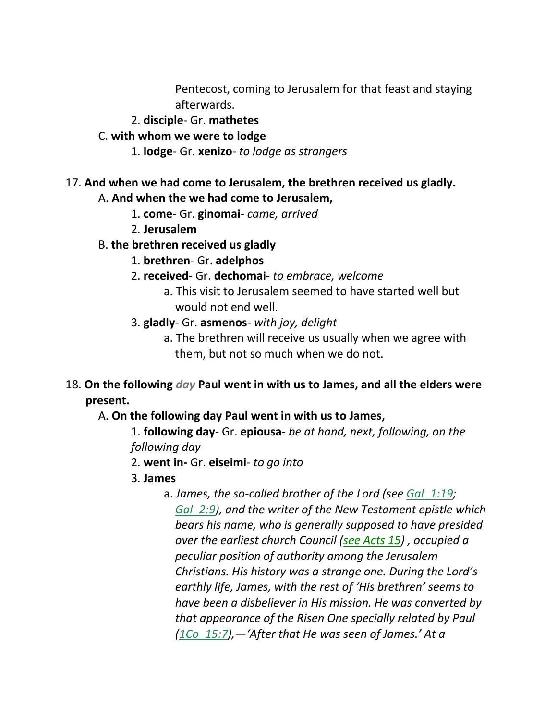Pentecost, coming to Jerusalem for that feast and staying afterwards.

- 2. **disciple** Gr. **mathetes**
- C. **with whom we were to lodge**
	- 1. **lodge** Gr. **xenizo** *to lodge as strangers*

## 17. **And when we had come to Jerusalem, the brethren received us gladly.**

A. **And when the we had come to Jerusalem,**

- 1. **come** Gr. **ginomai** *came, arrived*
- 2. **Jerusalem**
- B. **the brethren received us gladly**
	- 1. **brethren** Gr. **adelphos**
	- 2. **received** Gr. **dechomai** *to embrace, welcome*
		- a. This visit to Jerusalem seemed to have started well but would not end well.
	- 3. **gladly** Gr. **asmenos** *with joy, delight*
		- a. The brethren will receive us usually when we agree with them, but not so much when we do not.
- 18. **On the following** *day* **Paul went in with us to James, and all the elders were present.**

A. **On the following day Paul went in with us to James,**

1. **following day**- Gr. **epiousa**- *be at hand, next, following, on the following day*

- 2. **went in-** Gr. **eiseimi***- to go into*
- 3. **James**
	- a. *James, the so-called brother of the Lord (see Gal\_1:19; Gal\_2:9), and the writer of the New Testament epistle which bears his name, who is generally supposed to have presided over the earliest church Council (see Acts 15) , occupied a peculiar position of authority among the Jerusalem Christians. His history was a strange one. During the Lord's earthly life, James, with the rest of 'His brethren' seems to have been a disbeliever in His mission. He was converted by that appearance of the Risen One specially related by Paul (1Co\_15:7),—'After that He was seen of James.' At a*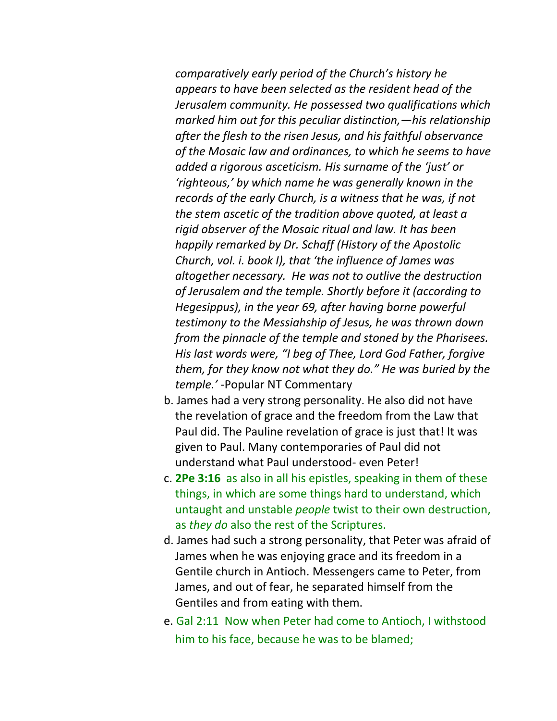*comparatively early period of the Church's history he appears to have been selected as the resident head of the Jerusalem community. He possessed two qualifications which marked him out for this peculiar distinction,—his relationship after the flesh to the risen Jesus, and his faithful observance of the Mosaic law and ordinances, to which he seems to have added a rigorous asceticism. His surname of the 'just' or 'righteous,' by which name he was generally known in the records of the early Church, is a witness that he was, if not the stem ascetic of the tradition above quoted, at least a rigid observer of the Mosaic ritual and law. It has been happily remarked by Dr. Schaff (History of the Apostolic Church, vol. i. book I), that 'the influence of James was altogether necessary. He was not to outlive the destruction of Jerusalem and the temple. Shortly before it (according to Hegesippus), in the year 69, after having borne powerful testimony to the Messiahship of Jesus, he was thrown down from the pinnacle of the temple and stoned by the Pharisees. His last words were, "I beg of Thee, Lord God Father, forgive them, for they know not what they do." He was buried by the temple.'* -Popular NT Commentary

- b. James had a very strong personality. He also did not have the revelation of grace and the freedom from the Law that Paul did. The Pauline revelation of grace is just that! It was given to Paul. Many contemporaries of Paul did not understand what Paul understood- even Peter!
- c. **2Pe 3:16** as also in all his epistles, speaking in them of these things, in which are some things hard to understand, which untaught and unstable *people* twist to their own destruction, as *they do* also the rest of the Scriptures.
- d. James had such a strong personality, that Peter was afraid of James when he was enjoying grace and its freedom in a Gentile church in Antioch. Messengers came to Peter, from James, and out of fear, he separated himself from the Gentiles and from eating with them.
- e. Gal 2:11 Now when Peter had come to Antioch, I withstood him to his face, because he was to be blamed;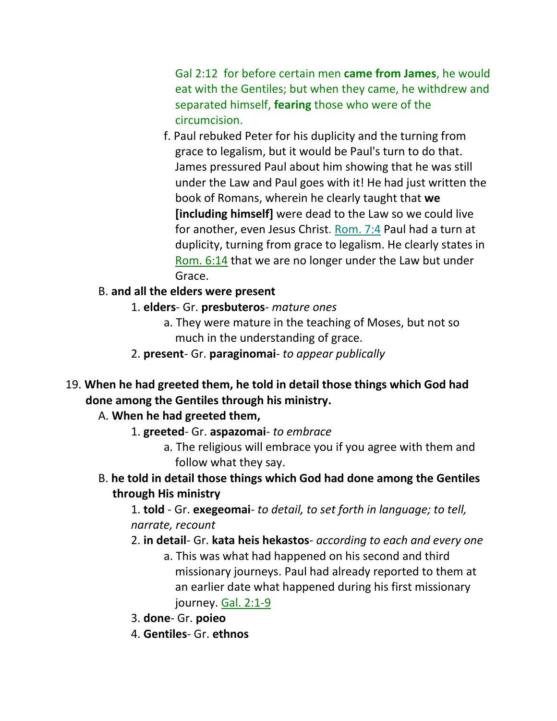Gal 2:12 for before certain men **came from James**, he would eat with the Gentiles; but when they came, he withdrew and separated himself, **fearing** those who were of the circumcision.

f. Paul rebuked Peter for his duplicity and the turning from grace to legalism, but it would be Paul's turn to do that. James pressured Paul about him showing that he was still under the Law and Paul goes with it! He had just written the book of Romans, wherein he clearly taught that **we [including himself]** were dead to the Law so we could live for another, even Jesus Christ. Rom. 7:4 Paul had a turn at duplicity, turning from grace to legalism. He clearly states in Rom. 6:14 that we are no longer under the Law but under Grace.

### B. **and all the elders were present**

### 1. **elders**- Gr. **presbuteros**- *mature ones*

- a. They were mature in the teaching of Moses, but not so much in the understanding of grace.
- 2. **present** Gr. **paraginomai** *to appear publically*
- 19. **When he had greeted them, he told in detail those things which God had done among the Gentiles through his ministry.**

## A. **When he had greeted them,**

- 1. **greeted** Gr. **aspazomai** *to embrace*
	- a. The religious will embrace you if you agree with them and follow what they say.
- B. **he told in detail those things which God had done among the Gentiles through His ministry**

1. **told** - Gr. **exegeomai**- *to detail, to set forth in language; to tell, narrate, recount*

- 2. **in detail** Gr. **kata heis hekastos** *according to each and every one*
	- a. This was what had happened on his second and third missionary journeys. Paul had already reported to them at an earlier date what happened during his first missionary journey. Gal. 2:1-9
- 3. **done** Gr. **poieo**
- 4. **Gentiles** Gr. **ethnos**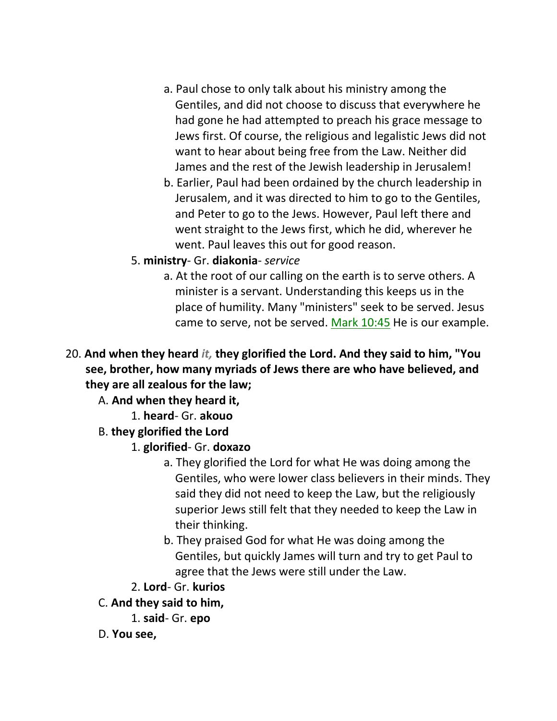- a. Paul chose to only talk about his ministry among the Gentiles, and did not choose to discuss that everywhere he had gone he had attempted to preach his grace message to Jews first. Of course, the religious and legalistic Jews did not want to hear about being free from the Law. Neither did James and the rest of the Jewish leadership in Jerusalem!
- b. Earlier, Paul had been ordained by the church leadership in Jerusalem, and it was directed to him to go to the Gentiles, and Peter to go to the Jews. However, Paul left there and went straight to the Jews first, which he did, wherever he went. Paul leaves this out for good reason.
- 5. **ministry** Gr. **diakonia** *service*
	- a. At the root of our calling on the earth is to serve others. A minister is a servant. Understanding this keeps us in the place of humility. Many "ministers" seek to be served. Jesus came to serve, not be served. Mark 10:45 He is our example.
- 20. **And when they heard** *it,* **they glorified the Lord. And they said to him, "You see, brother, how many myriads of Jews there are who have believed, and they are all zealous for the law;**

A. **And when they heard it,**

1. **heard**- Gr. **akouo**

B. **they glorified the Lord**

- 1. **glorified** Gr. **doxazo**
	- a. They glorified the Lord for what He was doing among the Gentiles, who were lower class believers in their minds. They said they did not need to keep the Law, but the religiously superior Jews still felt that they needed to keep the Law in their thinking.
	- b. They praised God for what He was doing among the Gentiles, but quickly James will turn and try to get Paul to agree that the Jews were still under the Law.
- 2. **Lord** Gr. **kurios**
- C. **And they said to him,**
	- 1. **said** Gr. **epo**
- D. **You see,**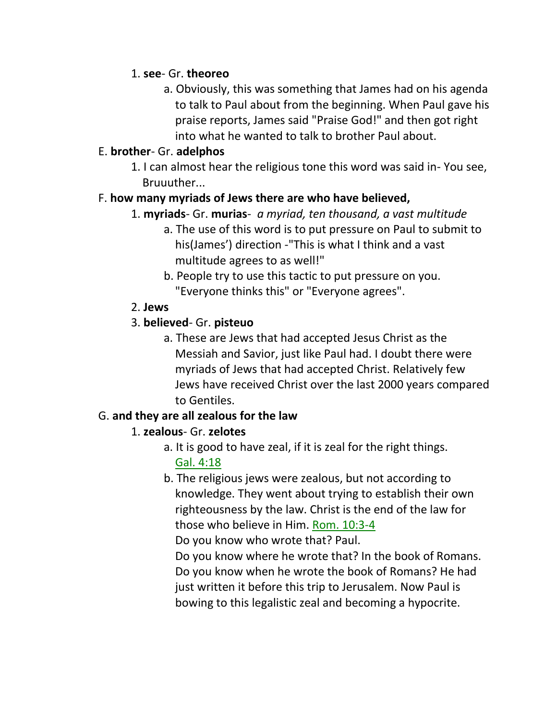### 1. **see**- Gr. **theoreo**

a. Obviously, this was something that James had on his agenda to talk to Paul about from the beginning. When Paul gave his praise reports, James said "Praise God!" and then got right into what he wanted to talk to brother Paul about.

### E. **brother**- Gr. **adelphos**

1. I can almost hear the religious tone this word was said in- You see, Bruuuther...

### F. **how many myriads of Jews there are who have believed,**

- 1. **myriads** Gr. **murias** *a myriad, ten thousand, a vast multitude*
	- a. The use of this word is to put pressure on Paul to submit to his(James') direction -"This is what I think and a vast multitude agrees to as well!"
	- b. People try to use this tactic to put pressure on you. "Everyone thinks this" or "Everyone agrees".

### 2. **Jews**

## 3. **believed**- Gr. **pisteuo**

a. These are Jews that had accepted Jesus Christ as the Messiah and Savior, just like Paul had. I doubt there were myriads of Jews that had accepted Christ. Relatively few Jews have received Christ over the last 2000 years compared to Gentiles.

## G. **and they are all zealous for the law**

## 1. **zealous**- Gr. **zelotes**

- a. It is good to have zeal, if it is zeal for the right things. Gal. 4:18
- b. The religious jews were zealous, but not according to knowledge. They went about trying to establish their own righteousness by the law. Christ is the end of the law for those who believe in Him. Rom. 10:3-4

Do you know who wrote that? Paul.

 Do you know where he wrote that? In the book of Romans. Do you know when he wrote the book of Romans? He had just written it before this trip to Jerusalem. Now Paul is bowing to this legalistic zeal and becoming a hypocrite.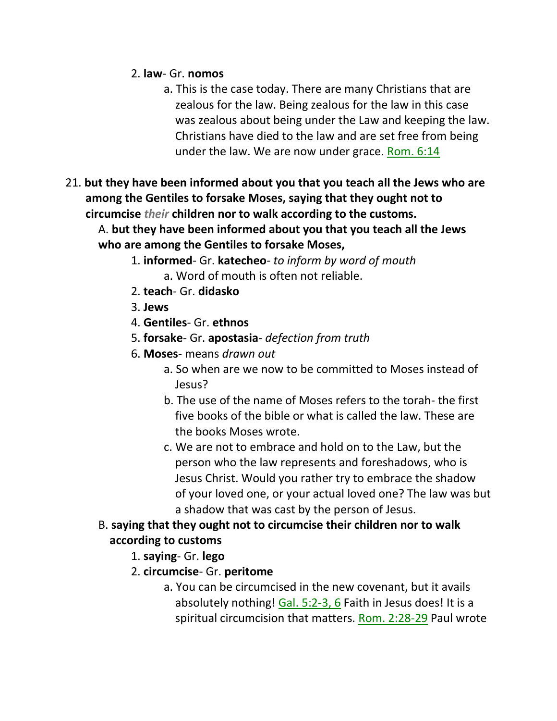### 2. **law**- Gr. **nomos**

- a. This is the case today. There are many Christians that are zealous for the law. Being zealous for the law in this case was zealous about being under the Law and keeping the law. Christians have died to the law and are set free from being under the law. We are now under grace. Rom. 6:14
- 21. **but they have been informed about you that you teach all the Jews who are among the Gentiles to forsake Moses, saying that they ought not to circumcise** *their* **children nor to walk according to the customs.**

A. **but they have been informed about you that you teach all the Jews who are among the Gentiles to forsake Moses,**

- 1. **informed** Gr. **katecheo** *to inform by word of mouth* a. Word of mouth is often not reliable.
- 2. **teach** Gr. **didasko**
- 3. **Jews**
- 4. **Gentiles** Gr. **ethnos**
- 5. **forsake** Gr. **apostasia** *defection from truth*
- 6. **Moses** means *drawn out*
	- a. So when are we now to be committed to Moses instead of Jesus?
	- b. The use of the name of Moses refers to the torah- the first five books of the bible or what is called the law. These are the books Moses wrote.
	- c. We are not to embrace and hold on to the Law, but the person who the law represents and foreshadows, who is Jesus Christ. Would you rather try to embrace the shadow of your loved one, or your actual loved one? The law was but a shadow that was cast by the person of Jesus.

## B. **saying that they ought not to circumcise their children nor to walk according to customs**

- 1. **saying** Gr. **lego**
- 2. **circumcise** Gr. **peritome**
	- a. You can be circumcised in the new covenant, but it avails absolutely nothing! Gal. 5:2-3, 6 Faith in Jesus does! It is a spiritual circumcision that matters. Rom. 2:28-29 Paul wrote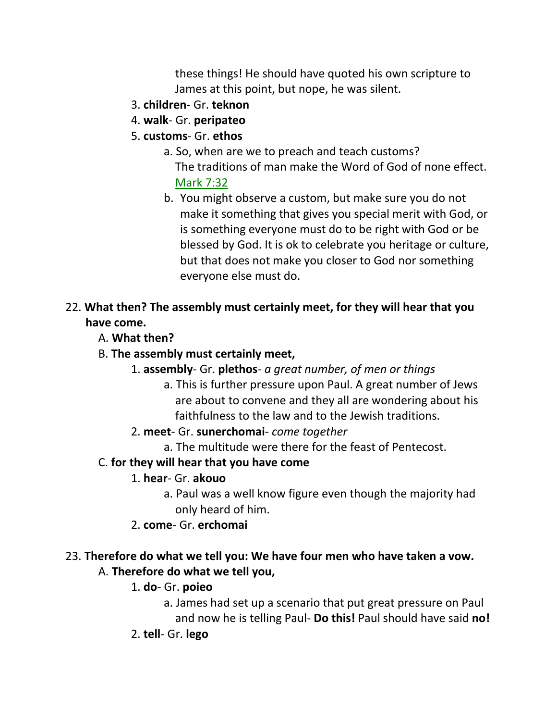these things! He should have quoted his own scripture to James at this point, but nope, he was silent.

- 3. **children** Gr. **teknon**
- 4. **walk** Gr. **peripateo**
- 5. **customs** Gr. **ethos**
	- a. So, when are we to preach and teach customs? The traditions of man make the Word of God of none effect. Mark 7:32
	- b. You might observe a custom, but make sure you do not make it something that gives you special merit with God, or is something everyone must do to be right with God or be blessed by God. It is ok to celebrate you heritage or culture, but that does not make you closer to God nor something everyone else must do.
- 22. **What then? The assembly must certainly meet, for they will hear that you have come.**
	- A. **What then?**
	- B. **The assembly must certainly meet,**
		- 1. **assembly** Gr. **plethos** *a great number, of men or things*
			- a. This is further pressure upon Paul. A great number of Jews are about to convene and they all are wondering about his faithfulness to the law and to the Jewish traditions.
		- 2. **meet** Gr. **sunerchomai** *come together*
			- a. The multitude were there for the feast of Pentecost.
	- C. **for they will hear that you have come**
		- 1. **hear** Gr. **akouo**
			- a. Paul was a well know figure even though the majority had only heard of him.
		- 2. **come** Gr. **erchomai**

### 23. **Therefore do what we tell you: We have four men who have taken a vow.** A. **Therefore do what we tell you,**

- 1. **do** Gr. **poieo**
	- a. James had set up a scenario that put great pressure on Paul and now he is telling Paul- **Do this!** Paul should have said **no!**
- 2. **tell** Gr. **lego**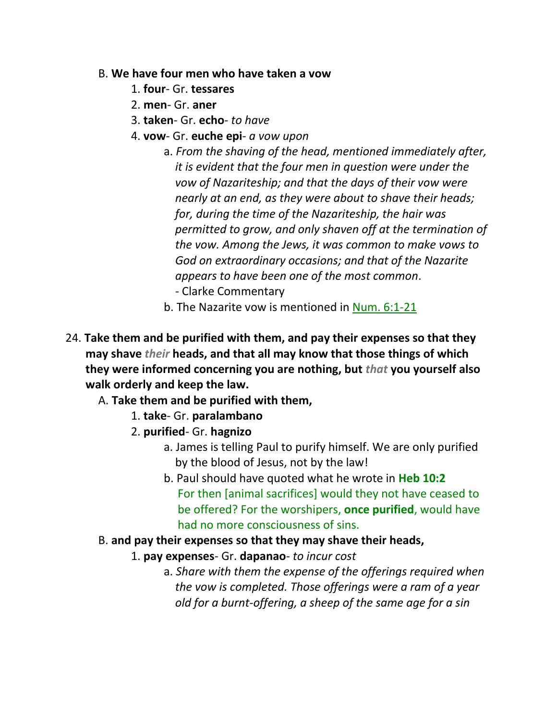#### B. **We have four men who have taken a vow**

- 1. **four** Gr. **tessares**
- 2. **men** Gr. **aner**
- 3. **taken** Gr. **echo** *to have*
- 4. **vow** Gr. **euche epi** *a vow upon*
	- a. *From the shaving of the head, mentioned immediately after, it is evident that the four men in question were under the vow of Nazariteship; and that the days of their vow were nearly at an end, as they were about to shave their heads; for, during the time of the Nazariteship, the hair was permitted to grow, and only shaven off at the termination of the vow. Among the Jews, it was common to make vows to God on extraordinary occasions; and that of the Nazarite appears to have been one of the most common*.
		- Clarke Commentary
	- b. The Nazarite vow is mentioned in Num. 6:1-21
- 24. **Take them and be purified with them, and pay their expenses so that they may shave** *their* **heads, and that all may know that those things of which they were informed concerning you are nothing, but** *that* **you yourself also walk orderly and keep the law.**
	- A. **Take them and be purified with them,**
		- 1. **take** Gr. **paralambano**
		- 2. **purified** Gr. **hagnizo**
			- a. James is telling Paul to purify himself. We are only purified by the blood of Jesus, not by the law!
			- b. Paul should have quoted what he wrote in **Heb 10:2** For then [animal sacrifices] would they not have ceased to be offered? For the worshipers, **once purified**, would have had no more consciousness of sins.
	- B. **and pay their expenses so that they may shave their heads,**
		- 1. **pay expenses** Gr. **dapanao** *to incur cost*
			- a. *Share with them the expense of the offerings required when the vow is completed. Those offerings were a ram of a year old for a burnt-offering, a sheep of the same age for a sin*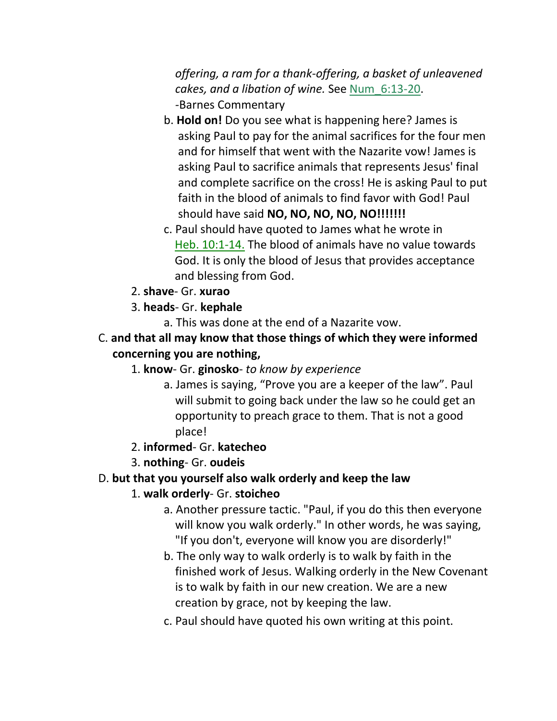*offering, a ram for a thank-offering, a basket of unleavened cakes, and a libation of wine.* See Num\_6:13-20.  *-*Barnes Commentary

- b. **Hold on!** Do you see what is happening here? James is asking Paul to pay for the animal sacrifices for the four men and for himself that went with the Nazarite vow! James is asking Paul to sacrifice animals that represents Jesus' final and complete sacrifice on the cross! He is asking Paul to put faith in the blood of animals to find favor with God! Paul should have said **NO, NO, NO, NO, NO!!!!!!!**
- c. Paul should have quoted to James what he wrote in Heb. 10:1-14. The blood of animals have no value towards God. It is only the blood of Jesus that provides acceptance and blessing from God.
- 2. **shave** Gr. **xurao**
- 3. **heads** Gr. **kephale**
	- a. This was done at the end of a Nazarite vow.
- C. **and that all may know that those things of which they were informed concerning you are nothing,**
	- 1. **know** Gr. **ginosko** *to know by experience*
		- a. James is saying, "Prove you are a keeper of the law". Paul will submit to going back under the law so he could get an opportunity to preach grace to them. That is not a good place!
	- 2. **informed** Gr. **katecheo**
	- 3. **nothing** Gr. **oudeis**

# D. **but that you yourself also walk orderly and keep the law**

# 1. **walk orderly**- Gr. **stoicheo**

- a. Another pressure tactic. "Paul, if you do this then everyone will know you walk orderly." In other words, he was saying, "If you don't, everyone will know you are disorderly!"
- b. The only way to walk orderly is to walk by faith in the finished work of Jesus. Walking orderly in the New Covenant is to walk by faith in our new creation. We are a new creation by grace, not by keeping the law.
- c. Paul should have quoted his own writing at this point.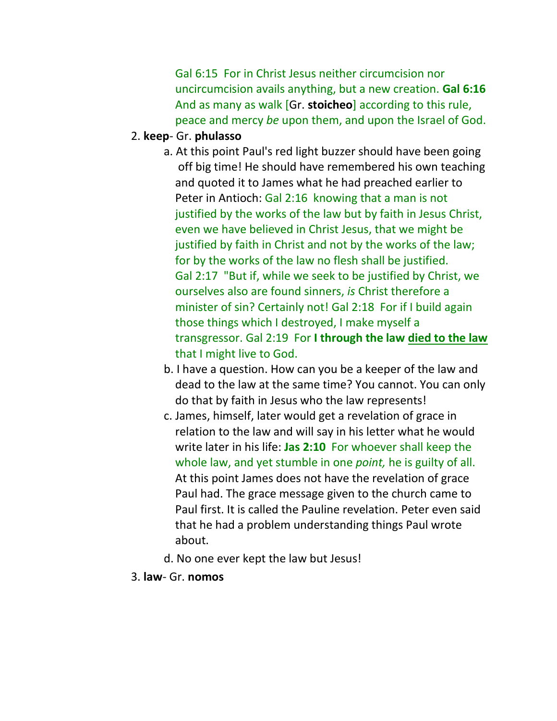Gal 6:15 For in Christ Jesus neither circumcision nor uncircumcision avails anything, but a new creation. **Gal 6:16** And as many as walk [Gr. **stoicheo**] according to this rule, peace and mercy *be* upon them, and upon the Israel of God.

#### 2. **keep**- Gr. **phulasso**

- a. At this point Paul's red light buzzer should have been going off big time! He should have remembered his own teaching and quoted it to James what he had preached earlier to Peter in Antioch: Gal 2:16 knowing that a man is not justified by the works of the law but by faith in Jesus Christ, even we have believed in Christ Jesus, that we might be justified by faith in Christ and not by the works of the law; for by the works of the law no flesh shall be justified. Gal 2:17 "But if, while we seek to be justified by Christ, we ourselves also are found sinners, *is* Christ therefore a minister of sin? Certainly not! Gal 2:18 For if I build again those things which I destroyed, I make myself a transgressor. Gal 2:19 For **I through the law died to the law** that I might live to God.
- b. I have a question. How can you be a keeper of the law and dead to the law at the same time? You cannot. You can only do that by faith in Jesus who the law represents!
- c. James, himself, later would get a revelation of grace in relation to the law and will say in his letter what he would write later in his life: **Jas 2:10** For whoever shall keep the whole law, and yet stumble in one *point,* he is guilty of all. At this point James does not have the revelation of grace Paul had. The grace message given to the church came to Paul first. It is called the Pauline revelation. Peter even said that he had a problem understanding things Paul wrote about.
- d. No one ever kept the law but Jesus!
- 3. **law** Gr. **nomos**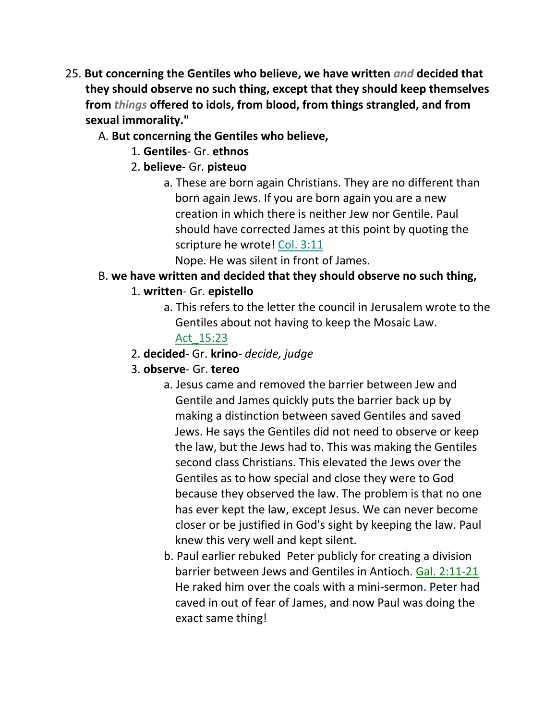- 25. **But concerning the Gentiles who believe, we have written** *and* **decided that they should observe no such thing, except that they should keep themselves from** *things* **offered to idols, from blood, from things strangled, and from sexual immorality."**
	- A. **But concerning the Gentiles who believe,**
		- 1. **Gentiles** Gr. **ethnos**
		- 2. **believe** Gr. **pisteuo**
			- a. These are born again Christians. They are no different than born again Jews. If you are born again you are a new creation in which there is neither Jew nor Gentile. Paul should have corrected James at this point by quoting the scripture he wrote! Col. 3:11

Nope. He was silent in front of James.

## B. **we have written and decided that they should observe no such thing,**

## 1. **written**- Gr. **epistello**

a. This refers to the letter the council in Jerusalem wrote to the Gentiles about not having to keep the Mosaic Law.

## Act\_15:23

- 2. **decided** Gr. **krino** *decide, judge*
- 3. **observe** Gr. **tereo**
	- a. Jesus came and removed the barrier between Jew and Gentile and James quickly puts the barrier back up by making a distinction between saved Gentiles and saved Jews. He says the Gentiles did not need to observe or keep the law, but the Jews had to. This was making the Gentiles second class Christians. This elevated the Jews over the Gentiles as to how special and close they were to God because they observed the law. The problem is that no one has ever kept the law, except Jesus. We can never become closer or be justified in God's sight by keeping the law. Paul knew this very well and kept silent.
	- b. Paul earlier rebuked Peter publicly for creating a division barrier between Jews and Gentiles in Antioch. Gal. 2:11-21 He raked him over the coals with a mini-sermon. Peter had caved in out of fear of James, and now Paul was doing the exact same thing!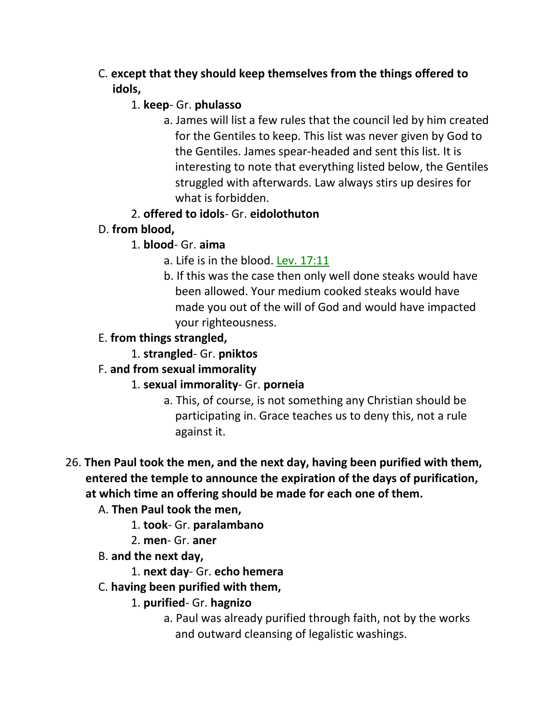C. **except that they should keep themselves from the things offered to idols,**

## 1. **keep**- Gr. **phulasso**

a. James will list a few rules that the council led by him created for the Gentiles to keep. This list was never given by God to the Gentiles. James spear-headed and sent this list. It is interesting to note that everything listed below, the Gentiles struggled with afterwards. Law always stirs up desires for what is forbidden.

# 2. **offered to idols**- Gr. **eidolothuton**

- D. **from blood,**
	- 1. **blood** Gr. **aima**
		- a. Life is in the blood. Lev. 17:11
		- b. If this was the case then only well done steaks would have been allowed. Your medium cooked steaks would have made you out of the will of God and would have impacted your righteousness.
- E. **from things strangled,**
	- 1. **strangled** Gr. **pniktos**

# F. **and from sexual immorality**

# 1. **sexual immorality**- Gr. **porneia**

a. This, of course, is not something any Christian should be participating in. Grace teaches us to deny this, not a rule against it.

## 26. **Then Paul took the men, and the next day, having been purified with them, entered the temple to announce the expiration of the days of purification, at which time an offering should be made for each one of them.**

# A. **Then Paul took the men,**

- 1. **took** Gr. **paralambano**
- 2. **men** Gr. **aner**
- B. **and the next day,**

# 1. **next day**- Gr. **echo hemera**

# C. **having been purified with them,**

# 1. **purified**- Gr. **hagnizo**

a. Paul was already purified through faith, not by the works and outward cleansing of legalistic washings.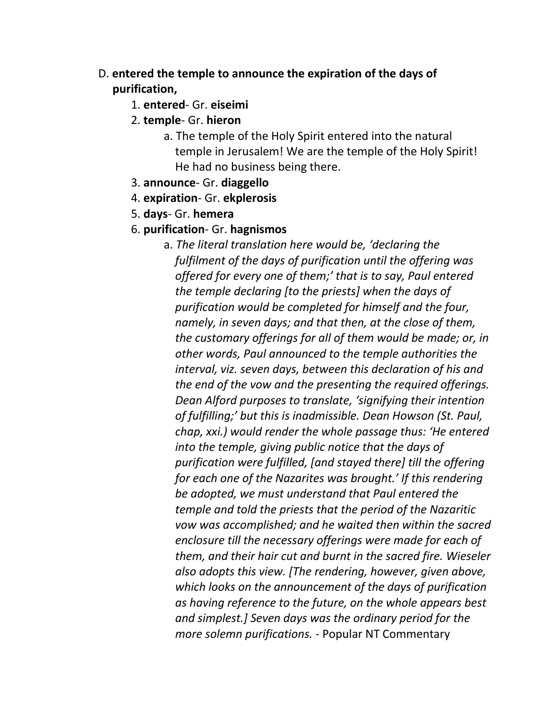- D. **entered the temple to announce the expiration of the days of purification,**
	- 1. **entered** Gr. **eiseimi**
	- 2. **temple** Gr. **hieron**
		- a. The temple of the Holy Spirit entered into the natural temple in Jerusalem! We are the temple of the Holy Spirit! He had no business being there.
	- 3. **announce** Gr. **diaggello**
	- 4. **expiration** Gr. **ekplerosis**
	- 5. **days** Gr. **hemera**
	- 6. **purification** Gr. **hagnismos**
		- a. *The literal translation here would be, 'declaring the fulfilment of the days of purification until the offering was offered for every one of them;' that is to say, Paul entered the temple declaring [to the priests] when the days of purification would be completed for himself and the four, namely, in seven days; and that then, at the close of them, the customary offerings for all of them would be made; or, in other words, Paul announced to the temple authorities the interval, viz. seven days, between this declaration of his and the end of the vow and the presenting the required offerings. Dean Alford purposes to translate, 'signifying their intention of fulfilling;' but this is inadmissible. Dean Howson (St. Paul, chap, xxi.) would render the whole passage thus: 'He entered into the temple, giving public notice that the days of purification were fulfilled, [and stayed there] till the offering for each one of the Nazarites was brought.' If this rendering be adopted, we must understand that Paul entered the temple and told the priests that the period of the Nazaritic vow was accomplished; and he waited then within the sacred enclosure till the necessary offerings were made for each of them, and their hair cut and burnt in the sacred fire. Wieseler also adopts this view. [The rendering, however, given above, which looks on the announcement of the days of purification as having reference to the future, on the whole appears best and simplest.] Seven days was the ordinary period for the more solemn purifications.* - Popular NT Commentary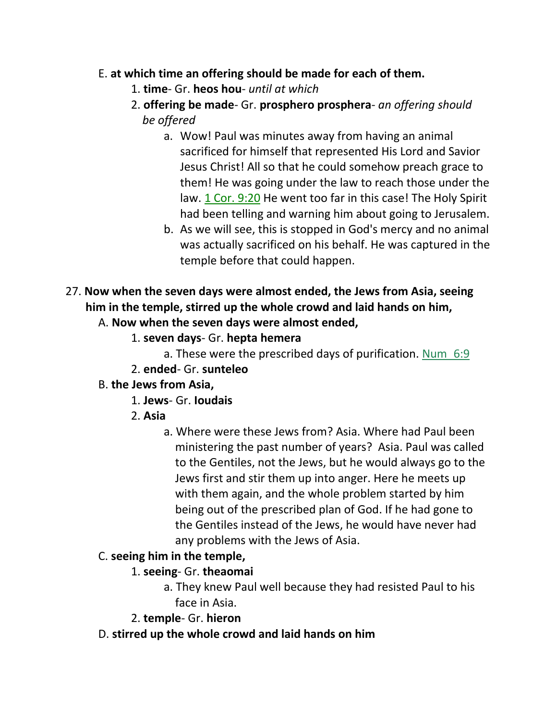### E. **at which time an offering should be made for each of them.**

- 1. **time** Gr. **heos hou** *until at which*
- 2. **offering be made** Gr. **prosphero prosphera** *an offering should be offered*
	- a. Wow! Paul was minutes away from having an animal sacrificed for himself that represented His Lord and Savior Jesus Christ! All so that he could somehow preach grace to them! He was going under the law to reach those under the law. 1 Cor. 9:20 He went too far in this case! The Holy Spirit had been telling and warning him about going to Jerusalem.
	- b. As we will see, this is stopped in God's mercy and no animal was actually sacrificed on his behalf. He was captured in the temple before that could happen.
- 27. **Now when the seven days were almost ended, the Jews from Asia, seeing him in the temple, stirred up the whole crowd and laid hands on him,**

A. **Now when the seven days were almost ended,**

- 1. **seven days** Gr. **hepta hemera**
	- a. These were the prescribed days of purification. Num\_6:9
- 2. **ended** Gr. **sunteleo**
- B. **the Jews from Asia,**
	- 1. **Jews** Gr. **Ioudais**
	- 2. **Asia**
		- a. Where were these Jews from? Asia. Where had Paul been ministering the past number of years? Asia. Paul was called to the Gentiles, not the Jews, but he would always go to the Jews first and stir them up into anger. Here he meets up with them again, and the whole problem started by him being out of the prescribed plan of God. If he had gone to the Gentiles instead of the Jews, he would have never had any problems with the Jews of Asia.

### C. **seeing him in the temple,**

### 1. **seeing**- Gr. **theaomai**

- a. They knew Paul well because they had resisted Paul to his face in Asia.
- 2. **temple** Gr. **hieron**
- D. **stirred up the whole crowd and laid hands on him**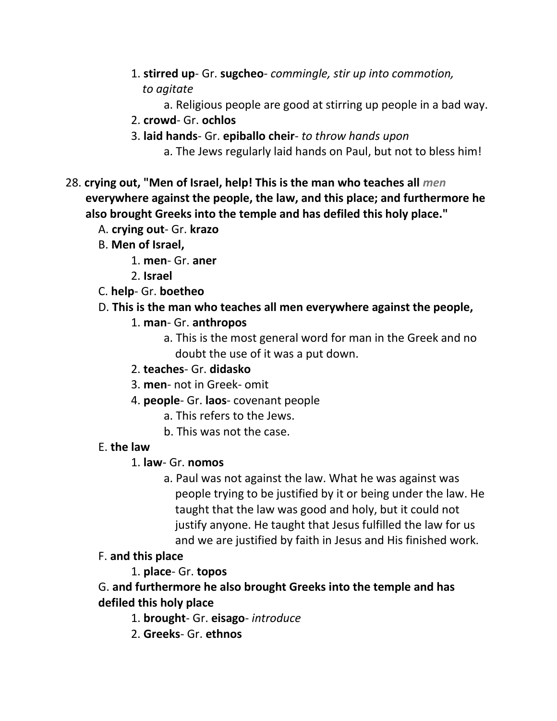- 1. **stirred up** Gr. **sugcheo** *commingle, stir up into commotion, to agitate*
	- a. Religious people are good at stirring up people in a bad way.
- 2. **crowd** Gr. **ochlos**
- 3. **laid hands** Gr. **epiballo cheir** *to throw hands upon*
	- a. The Jews regularly laid hands on Paul, but not to bless him!
- 28. **crying out, "Men of Israel, help! This is the man who teaches all** *men*  **everywhere against the people, the law, and this place; and furthermore he also brought Greeks into the temple and has defiled this holy place."**
	- A. **crying out** Gr. **krazo**
	- B. **Men of Israel,**
		- 1. **men** Gr. **aner**
		- 2. **Israel**
	- C. **help** Gr. **boetheo**
	- D. **This is the man who teaches all men everywhere against the people,**
		- 1. **man** Gr. **anthropos**
			- a. This is the most general word for man in the Greek and no doubt the use of it was a put down.
		- 2. **teaches** Gr. **didasko**
		- 3. **men** not in Greek- omit
		- 4. **people** Gr. **laos** covenant people
			- a. This refers to the Jews.
			- b. This was not the case.

## E. **the law**

## 1. **law**- Gr. **nomos**

- a. Paul was not against the law. What he was against was people trying to be justified by it or being under the law. He taught that the law was good and holy, but it could not justify anyone. He taught that Jesus fulfilled the law for us and we are justified by faith in Jesus and His finished work.
- F. **and this place**

# 1. **place**- Gr. **topos**

G. **and furthermore he also brought Greeks into the temple and has defiled this holy place**

- 1. **brought** Gr. **eisago** *introduce*
- 2. **Greeks** Gr. **ethnos**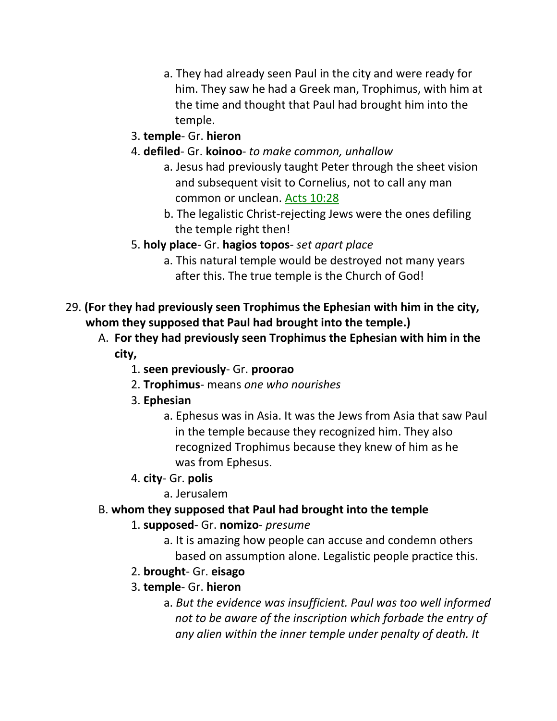- a. They had already seen Paul in the city and were ready for him. They saw he had a Greek man, Trophimus, with him at the time and thought that Paul had brought him into the temple.
- 3. **temple** Gr. **hieron**
- 4. **defiled** Gr. **koinoo** *to make common, unhallow*
	- a. Jesus had previously taught Peter through the sheet vision and subsequent visit to Cornelius, not to call any man common or unclean. Acts 10:28
	- b. The legalistic Christ-rejecting Jews were the ones defiling the temple right then!
- 5. **holy place** Gr. **hagios topos** *set apart place*
	- a. This natural temple would be destroyed not many years after this. The true temple is the Church of God!
- 29. **(For they had previously seen Trophimus the Ephesian with him in the city, whom they supposed that Paul had brought into the temple.)**
	- A. **For they had previously seen Trophimus the Ephesian with him in the city,**
		- 1. **seen previously** Gr. **proorao**
		- 2. **Trophimus** means *one who nourishes*
		- 3. **Ephesian**
			- a. Ephesus was in Asia. It was the Jews from Asia that saw Paul in the temple because they recognized him. They also recognized Trophimus because they knew of him as he was from Ephesus.
		- 4. **city** Gr. **polis**
			- a. Jerusalem
	- B. **whom they supposed that Paul had brought into the temple**
		- 1. **supposed** Gr. **nomizo** *presume*
			- a. It is amazing how people can accuse and condemn others based on assumption alone. Legalistic people practice this.
		- 2. **brought** Gr. **eisago**
		- 3. **temple** Gr. **hieron**
			- a. *But the evidence was insufficient. Paul was too well informed not to be aware of the inscription which forbade the entry of any alien within the inner temple under penalty of death. It*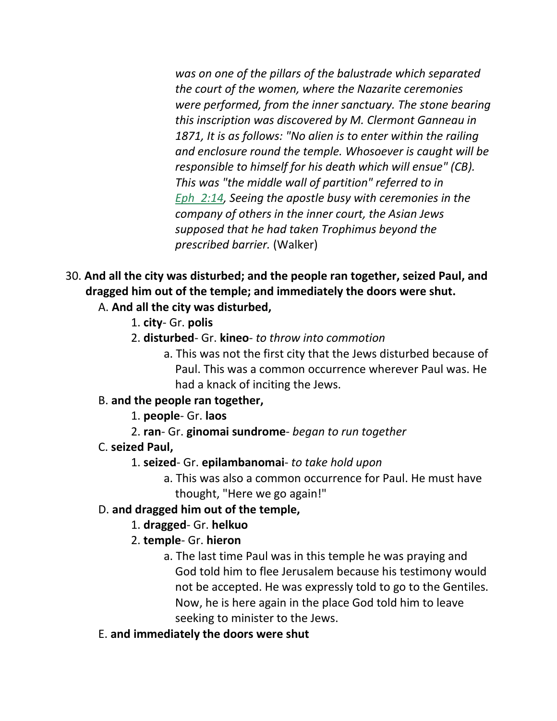*was on one of the pillars of the balustrade which separated the court of the women, where the Nazarite ceremonies were performed, from the inner sanctuary. The stone bearing this inscription was discovered by M. Clermont Ganneau in 1871, It is as follows: "No alien is to enter within the railing and enclosure round the temple. Whosoever is caught will be responsible to himself for his death which will ensue" (CB). This was "the middle wall of partition" referred to in Eph\_2:14, Seeing the apostle busy with ceremonies in the company of others in the inner court, the Asian Jews supposed that he had taken Trophimus beyond the prescribed barrier.* (Walker)

## 30. **And all the city was disturbed; and the people ran together, seized Paul, and dragged him out of the temple; and immediately the doors were shut.**

## A. **And all the city was disturbed,**

- 1. **city** Gr. **polis**
- 2. **disturbed** Gr. **kineo** *to throw into commotion*
	- a. This was not the first city that the Jews disturbed because of Paul. This was a common occurrence wherever Paul was. He had a knack of inciting the Jews.

### B. **and the people ran together,**

1. **people**- Gr. **laos**

2. **ran**- Gr. **ginomai sundrome**- *began to run together*

### C. **seized Paul,**

### 1. **seized**- Gr. **epilambanomai**- *to take hold upon*

a. This was also a common occurrence for Paul. He must have thought, "Here we go again!"

### D. **and dragged him out of the temple,**

### 1. **dragged**- Gr. **helkuo**

- 2. **temple** Gr. **hieron**
	- a. The last time Paul was in this temple he was praying and God told him to flee Jerusalem because his testimony would not be accepted. He was expressly told to go to the Gentiles. Now, he is here again in the place God told him to leave seeking to minister to the Jews.
- E. **and immediately the doors were shut**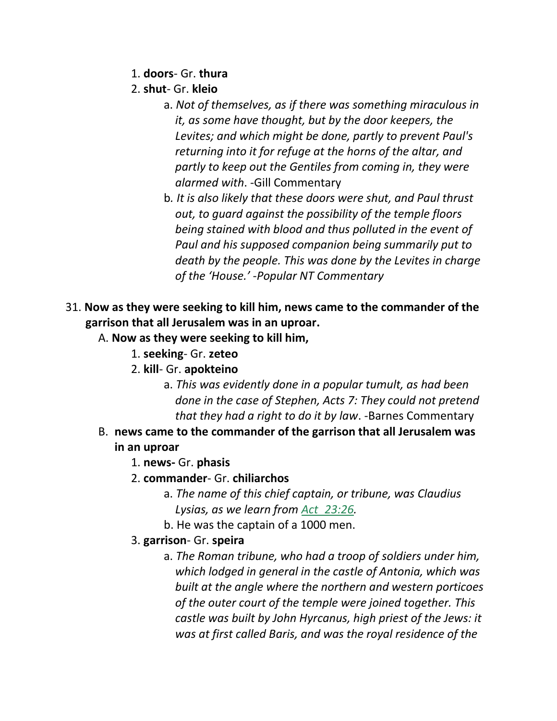- 1. **doors** Gr. **thura**
- 2. **shut** Gr. **kleio**
	- a. *Not of themselves, as if there was something miraculous in it, as some have thought, but by the door keepers, the Levites; and which might be done, partly to prevent Paul's returning into it for refuge at the horns of the altar, and partly to keep out the Gentiles from coming in, they were alarmed with*. -Gill Commentary
	- b*. It is also likely that these doors were shut, and Paul thrust out, to guard against the possibility of the temple floors being stained with blood and thus polluted in the event of Paul and his supposed companion being summarily put to death by the people. This was done by the Levites in charge of the 'House.' -Popular NT Commentary*
- 31. **Now as they were seeking to kill him, news came to the commander of the garrison that all Jerusalem was in an uproar.**
	- A. **Now as they were seeking to kill him,**
		- 1. **seeking** Gr. **zeteo**
		- 2. **kill** Gr. **apokteino**
			- a. *This was evidently done in a popular tumult, as had been done in the case of Stephen, Acts 7: They could not pretend that they had a right to do it by law*. -Barnes Commentary
	- B. **news came to the commander of the garrison that all Jerusalem was in an uproar**
		- 1. **news-** Gr. **phasis**
		- 2. **commander** Gr. **chiliarchos**
			- a. *The name of this chief captain, or tribune, was Claudius Lysias, as we learn from Act\_23:26.*
			- b. He was the captain of a 1000 men.
		- 3. **garrison** Gr. **speira**
			- a. *The Roman tribune, who had a troop of soldiers under him, which lodged in general in the castle of Antonia, which was built at the angle where the northern and western porticoes of the outer court of the temple were joined together. This castle was built by John Hyrcanus, high priest of the Jews: it was at first called Baris, and was the royal residence of the*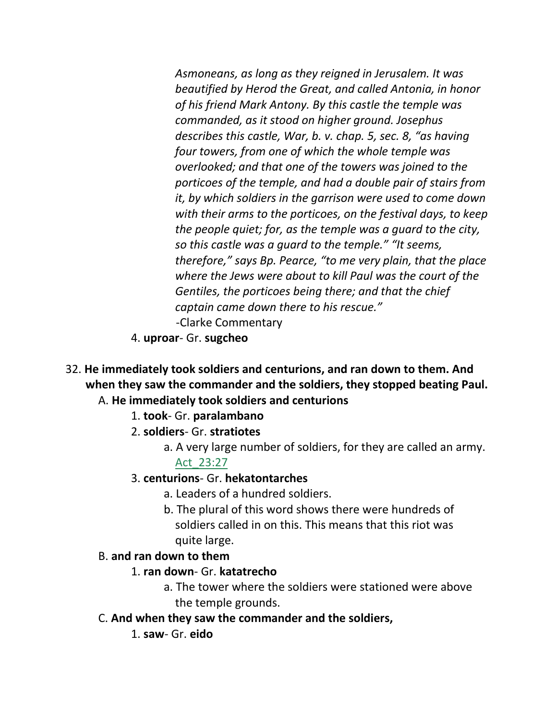*Asmoneans, as long as they reigned in Jerusalem. It was beautified by Herod the Great, and called Antonia, in honor of his friend Mark Antony. By this castle the temple was commanded, as it stood on higher ground. Josephus describes this castle, War, b. v. chap. 5, sec. 8, "as having four towers, from one of which the whole temple was overlooked; and that one of the towers was joined to the porticoes of the temple, and had a double pair of stairs from it, by which soldiers in the garrison were used to come down with their arms to the porticoes, on the festival days, to keep the people quiet; for, as the temple was a guard to the city, so this castle was a guard to the temple." "It seems, therefore," says Bp. Pearce, "to me very plain, that the place where the Jews were about to kill Paul was the court of the Gentiles, the porticoes being there; and that the chief captain came down there to his rescue."*  -Clarke Commentary

- 4. **uproar** Gr. **sugcheo**
- 32. **He immediately took soldiers and centurions, and ran down to them. And when they saw the commander and the soldiers, they stopped beating Paul.** A. **He immediately took soldiers and centurions**
	- 1. **took** Gr. **paralambano**
	- 2. **soldiers** Gr. **stratiotes**
		- a. A very large number of soldiers, for they are called an army. Act\_23:27
	- 3. **centurions** Gr. **hekatontarches**
		- a. Leaders of a hundred soldiers.
		- b. The plural of this word shows there were hundreds of soldiers called in on this. This means that this riot was quite large.

#### B. **and ran down to them**

#### 1. **ran down**- Gr. **katatrecho**

- a. The tower where the soldiers were stationed were above the temple grounds.
- C. **And when they saw the commander and the soldiers,**
	- 1. **saw** Gr. **eido**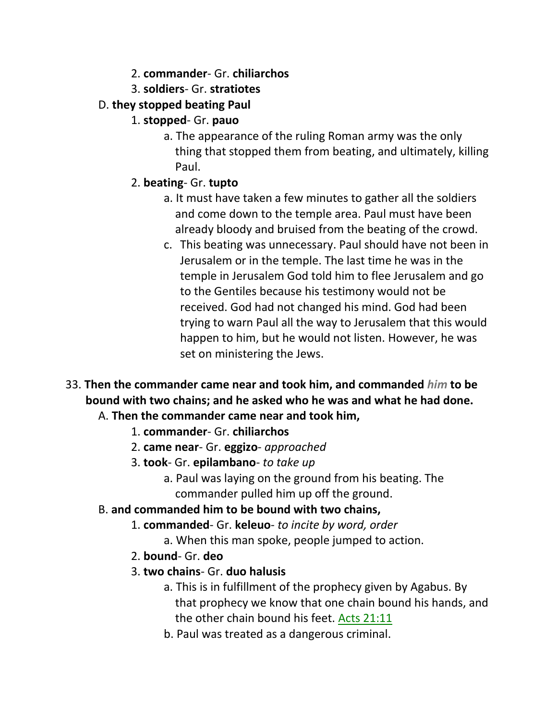- 2. **commander** Gr. **chiliarchos**
- 3. **soldiers** Gr. **stratiotes**
- D. **they stopped beating Paul**
	- 1. **stopped** Gr. **pauo**
		- a. The appearance of the ruling Roman army was the only thing that stopped them from beating, and ultimately, killing Paul.
	- 2. **beating** Gr. **tupto**
		- a. It must have taken a few minutes to gather all the soldiers and come down to the temple area. Paul must have been already bloody and bruised from the beating of the crowd.
		- c. This beating was unnecessary. Paul should have not been in Jerusalem or in the temple. The last time he was in the temple in Jerusalem God told him to flee Jerusalem and go to the Gentiles because his testimony would not be received. God had not changed his mind. God had been trying to warn Paul all the way to Jerusalem that this would happen to him, but he would not listen. However, he was set on ministering the Jews.
- 33. **Then the commander came near and took him, and commanded** *him* **to be bound with two chains; and he asked who he was and what he had done.**
	- A. **Then the commander came near and took him,**
		- 1. **commander** Gr. **chiliarchos**
		- 2. **came near** Gr. **eggizo** *approached*
		- 3. **took** Gr. **epilambano** *to take up*
			- a. Paul was laying on the ground from his beating. The commander pulled him up off the ground.
	- B. **and commanded him to be bound with two chains,**
		- 1. **commanded** Gr. **keleuo** *to incite by word, order*
			- a. When this man spoke, people jumped to action.
		- 2. **bound** Gr. **deo**
		- 3. **two chains** Gr. **duo halusis**
			- a. This is in fulfillment of the prophecy given by Agabus. By that prophecy we know that one chain bound his hands, and the other chain bound his feet. Acts 21:11
			- b. Paul was treated as a dangerous criminal.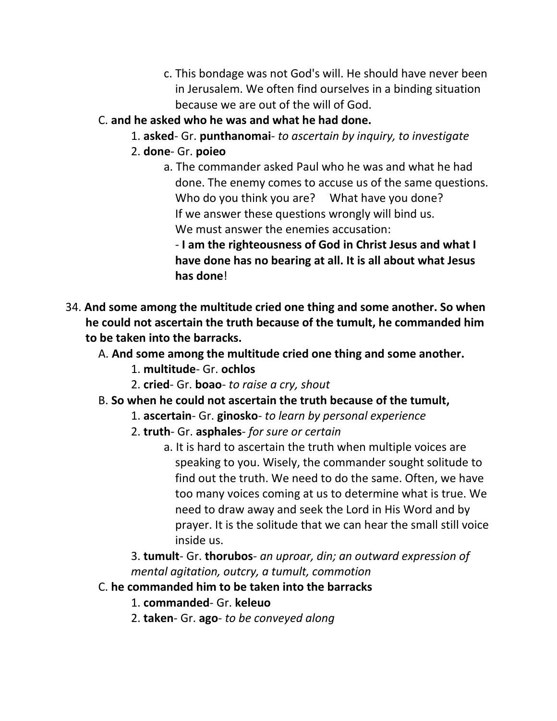- c. This bondage was not God's will. He should have never been in Jerusalem. We often find ourselves in a binding situation because we are out of the will of God.
- C. **and he asked who he was and what he had done.**
	- 1. **asked** Gr. **punthanomai** *to ascertain by inquiry, to investigate*
	- 2. **done** Gr. **poieo**
		- a. The commander asked Paul who he was and what he had done. The enemy comes to accuse us of the same questions. Who do you think you are? What have you done? If we answer these questions wrongly will bind us. We must answer the enemies accusation:

 - **I am the righteousness of God in Christ Jesus and what I have done has no bearing at all. It is all about what Jesus has done**!

- 34. **And some among the multitude cried one thing and some another. So when he could not ascertain the truth because of the tumult, he commanded him to be taken into the barracks.**
	- A. **And some among the multitude cried one thing and some another.**
		- 1. **multitude** Gr. **ochlos**
		- 2. **cried** Gr. **boao** *to raise a cry, shout*
	- B. **So when he could not ascertain the truth because of the tumult,**
		- 1. **ascertain** Gr. **ginosko** *to learn by personal experience*
		- 2. **truth** Gr. **asphales** *for sure or certain*
			- a. It is hard to ascertain the truth when multiple voices are speaking to you. Wisely, the commander sought solitude to find out the truth. We need to do the same. Often, we have too many voices coming at us to determine what is true. We need to draw away and seek the Lord in His Word and by prayer. It is the solitude that we can hear the small still voice inside us.

3. **tumult**- Gr. **thorubos**- *an uproar, din; an outward expression of mental agitation, outcry, a tumult, commotion*

- C. **he commanded him to be taken into the barracks**
	- 1. **commanded** Gr. **keleuo**
	- 2. **taken** Gr. **ago** *to be conveyed along*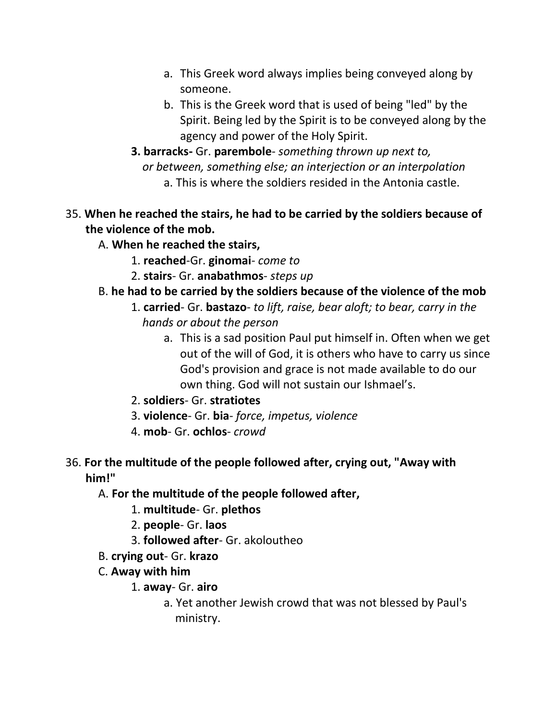- a. This Greek word always implies being conveyed along by someone.
- b. This is the Greek word that is used of being "led" by the Spirit. Being led by the Spirit is to be conveyed along by the agency and power of the Holy Spirit.
- **3. barracks-** Gr. **parembole** *something thrown up next to,*  *or between, something else; an interjection or an interpolation* a. This is where the soldiers resided in the Antonia castle.
- 35. **When he reached the stairs, he had to be carried by the soldiers because of the violence of the mob.**

## A. **When he reached the stairs,**

- 1. **reached**-Gr. **ginomai** *come to*
- 2. **stairs** Gr. **anabathmos** *steps up*

## B. **he had to be carried by the soldiers because of the violence of the mob**

- 1. **carried** Gr. **bastazo** *to lift, raise, bear aloft; to bear, carry in the hands or about the person*
	- a. This is a sad position Paul put himself in. Often when we get out of the will of God, it is others who have to carry us since God's provision and grace is not made available to do our own thing. God will not sustain our Ishmael's.
- 2. **soldiers** Gr. **stratiotes**
- 3. **violence** Gr. **bia** *force, impetus, violence*
- 4. **mob** Gr. **ochlos** *crowd*

## 36. **For the multitude of the people followed after, crying out, "Away with him!"**

### A. **For the multitude of the people followed after,**

- 1. **multitude** Gr. **plethos**
- 2. **people** Gr. **laos**
- 3. **followed after** Gr. akoloutheo
- B. **crying out** Gr. **krazo**
- C. **Away with him**
	- 1. **away** Gr. **airo**
		- a. Yet another Jewish crowd that was not blessed by Paul's ministry.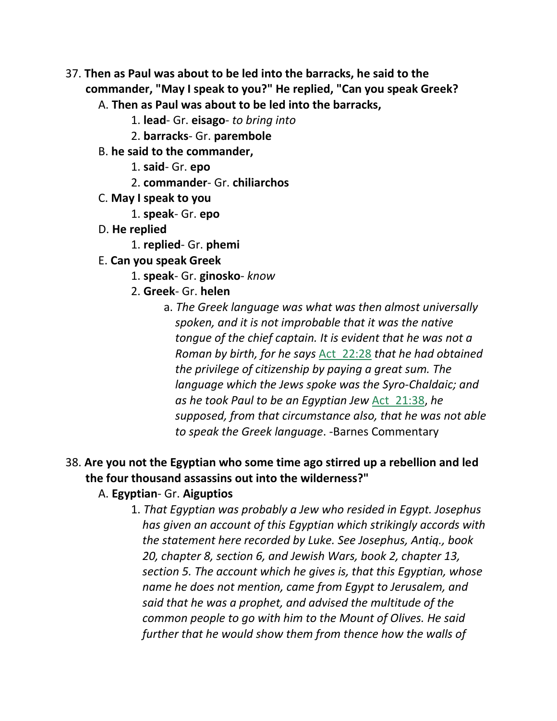- 37. **Then as Paul was about to be led into the barracks, he said to the commander, "May I speak to you?" He replied, "Can you speak Greek?**
	- A. **Then as Paul was about to be led into the barracks,**
		- 1. **lead** Gr. **eisago** *to bring into*
		- 2. **barracks** Gr. **parembole**
	- B. **he said to the commander,**
		- 1. **said** Gr. **epo**
		- 2. **commander** Gr. **chiliarchos**
	- C. **May I speak to you**
		- 1. **speak** Gr. **epo**
	- D. **He replied**
		- 1. **replied** Gr. **phemi**
	- E. **Can you speak Greek**
		- 1. **speak** Gr. **ginosko** *know*
		- 2. **Greek** Gr. **helen**
			- a. *The Greek language was what was then almost universally spoken, and it is not improbable that it was the native tongue of the chief captain. It is evident that he was not a Roman by birth, for he says* Act\_22:28 *that he had obtained the privilege of citizenship by paying a great sum. The language which the Jews spoke was the Syro-Chaldaic; and as he took Paul to be an Egyptian Jew* Act\_21:38, *he supposed, from that circumstance also, that he was not able to speak the Greek language*. -Barnes Commentary

# 38. **Are you not the Egyptian who some time ago stirred up a rebellion and led the four thousand assassins out into the wilderness?"**

#### A. **Egyptian**- Gr. **Aiguptios**

1. *That Egyptian was probably a Jew who resided in Egypt. Josephus has given an account of this Egyptian which strikingly accords with the statement here recorded by Luke. See Josephus, Antiq., book 20, chapter 8, section 6, and Jewish Wars, book 2, chapter 13, section 5. The account which he gives is, that this Egyptian, whose name he does not mention, came from Egypt to Jerusalem, and said that he was a prophet, and advised the multitude of the common people to go with him to the Mount of Olives. He said further that he would show them from thence how the walls of*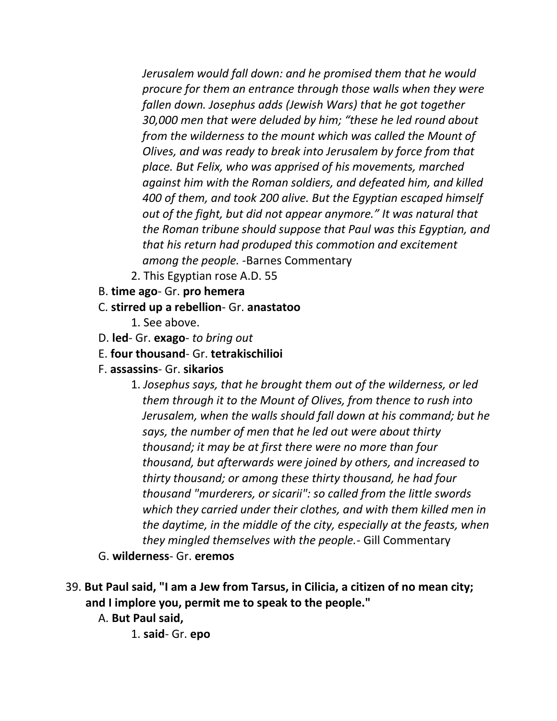*Jerusalem would fall down: and he promised them that he would procure for them an entrance through those walls when they were fallen down. Josephus adds (Jewish Wars) that he got together 30,000 men that were deluded by him; "these he led round about from the wilderness to the mount which was called the Mount of Olives, and was ready to break into Jerusalem by force from that place. But Felix, who was apprised of his movements, marched against him with the Roman soldiers, and defeated him, and killed 400 of them, and took 200 alive. But the Egyptian escaped himself out of the fight, but did not appear anymore." It was natural that the Roman tribune should suppose that Paul was this Egyptian, and that his return had produped this commotion and excitement among the people.* -Barnes Commentary

- 2. This Egyptian rose A.D. 55
- B. **time ago** Gr. **pro hemera**
- C. **stirred up a rebellion** Gr. **anastatoo**
	- 1. See above.
- D. **led** Gr. **exago** *to bring out*
- E. **four thousand** Gr. **tetrakischilioi**
- F. **assassins** Gr. **sikarios**
	- 1. *Josephus says, that he brought them out of the wilderness, or led them through it to the Mount of Olives, from thence to rush into Jerusalem, when the walls should fall down at his command; but he says, the number of men that he led out were about thirty thousand; it may be at first there were no more than four thousand, but afterwards were joined by others, and increased to thirty thousand; or among these thirty thousand, he had four thousand "murderers, or sicarii": so called from the little swords which they carried under their clothes, and with them killed men in the daytime, in the middle of the city, especially at the feasts, when they mingled themselves with the people.*- Gill Commentary
- G. **wilderness** Gr. **eremos**
- 39. **But Paul said, "I am a Jew from Tarsus, in Cilicia, a citizen of no mean city; and I implore you, permit me to speak to the people."**
	- A. **But Paul said,**
		- 1. **said** Gr. **epo**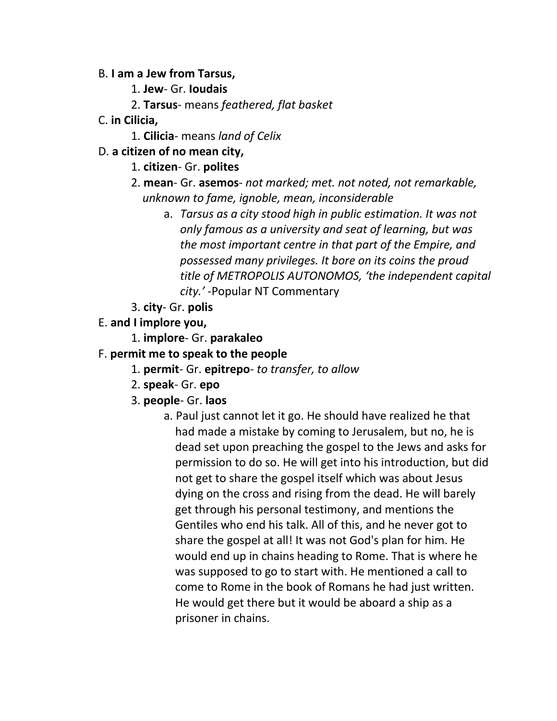#### B. **I am a Jew from Tarsus,**

- 1. **Jew** Gr. **Ioudais**
- 2. **Tarsus** means *feathered, flat basket*
- C. **in Cilicia,**
	- 1. **Cilicia** means *land of Celix*
- D. **a citizen of no mean city,**
	- 1. **citizen** Gr. **polites**
	- 2. **mean** Gr. **asemos** *not marked; met. not noted, not remarkable, unknown to fame, ignoble, mean, inconsiderable*
		- a. *Tarsus as a city stood high in public estimation. It was not only famous as a university and seat of learning, but was the most important centre in that part of the Empire, and possessed many privileges. It bore on its coins the proud title of METROPOLIS AUTONOMOS, 'the independent capital city.'* -Popular NT Commentary
	- 3. **city** Gr. **polis**
- E. **and I implore you,**
	- 1. **implore** Gr. **parakaleo**
- F. **permit me to speak to the people**
	- 1. **permit** Gr. **epitrepo** *to transfer, to allow*
	- 2. **speak** Gr. **epo**
	- 3. **people** Gr. **laos**
		- a. Paul just cannot let it go. He should have realized he that had made a mistake by coming to Jerusalem, but no, he is dead set upon preaching the gospel to the Jews and asks for permission to do so. He will get into his introduction, but did not get to share the gospel itself which was about Jesus dying on the cross and rising from the dead. He will barely get through his personal testimony, and mentions the Gentiles who end his talk. All of this, and he never got to share the gospel at all! It was not God's plan for him. He would end up in chains heading to Rome. That is where he was supposed to go to start with. He mentioned a call to come to Rome in the book of Romans he had just written. He would get there but it would be aboard a ship as a prisoner in chains.